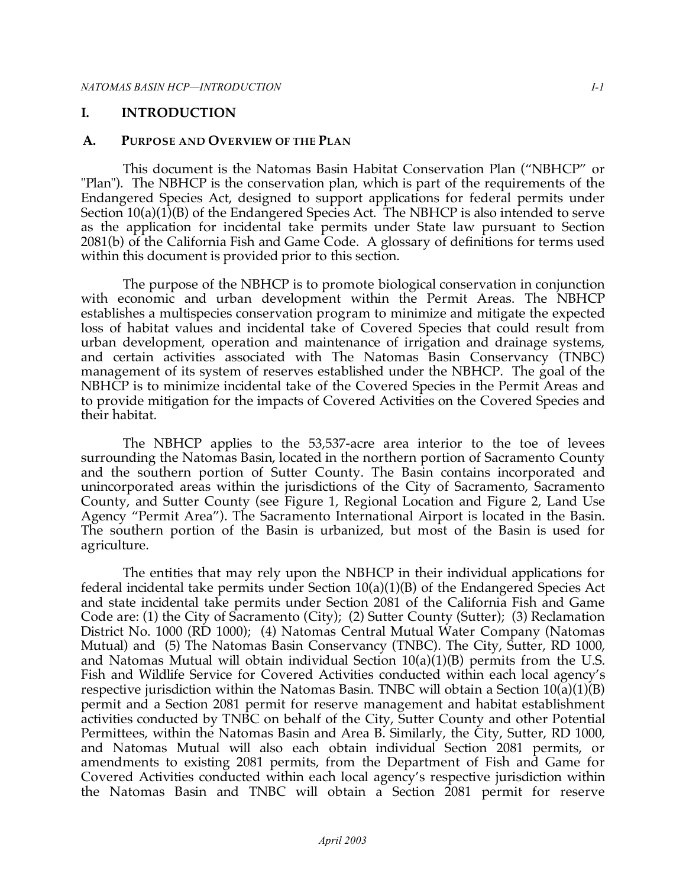#### **I. INTRODUCTION**

#### **A. PURPOSE AND OVERVIEW OF THE PLAN**

 This document is the Natomas Basin Habitat Conservation Plan ("NBHCP" or "Plan"). The NBHCP is the conservation plan, which is part of the requirements of the Endangered Species Act, designed to support applications for federal permits under Section 10(a)(1)(B) of the Endangered Species Act. The NBHCP is also intended to serve as the application for incidental take permits under State law pursuant to Section 2081(b) of the California Fish and Game Code. A glossary of definitions for terms used within this document is provided prior to this section.

 The purpose of the NBHCP is to promote biological conservation in conjunction with economic and urban development within the Permit Areas. The NBHCP establishes a multispecies conservation program to minimize and mitigate the expected loss of habitat values and incidental take of Covered Species that could result from urban development, operation and maintenance of irrigation and drainage systems, and certain activities associated with The Natomas Basin Conservancy (TNBC) management of its system of reserves established under the NBHCP. The goal of the NBHCP is to minimize incidental take of the Covered Species in the Permit Areas and to provide mitigation for the impacts of Covered Activities on the Covered Species and their habitat.

 The NBHCP applies to the 53,537-acre area interior to the toe of levees surrounding the Natomas Basin, located in the northern portion of Sacramento County and the southern portion of Sutter County. The Basin contains incorporated and unincorporated areas within the jurisdictions of the City of Sacramento, Sacramento County, and Sutter County (see Figure 1, Regional Location and Figure 2, Land Use Agency "Permit Area"). The Sacramento International Airport is located in the Basin. The southern portion of the Basin is urbanized, but most of the Basin is used for agriculture.

 The entities that may rely upon the NBHCP in their individual applications for federal incidental take permits under Section 10(a)(1)(B) of the Endangered Species Act and state incidental take permits under Section 2081 of the California Fish and Game Code are: (1) the City of Sacramento (City); (2) Sutter County (Sutter); (3) Reclamation District No. 1000 (RD 1000); (4) Natomas Central Mutual Water Company (Natomas Mutual) and (5) The Natomas Basin Conservancy (TNBC). The City, Sutter, RD 1000, and Natomas Mutual will obtain individual Section 10(a)(1)(B) permits from the U.S. Fish and Wildlife Service for Covered Activities conducted within each local agency's respective jurisdiction within the Natomas Basin. TNBC will obtain a Section 10(a)(1)(B) permit and a Section 2081 permit for reserve management and habitat establishment activities conducted by TNBC on behalf of the City, Sutter County and other Potential Permittees, within the Natomas Basin and Area B. Similarly, the City, Sutter, RD 1000, and Natomas Mutual will also each obtain individual Section 2081 permits, or amendments to existing 2081 permits, from the Department of Fish and Game for Covered Activities conducted within each local agency's respective jurisdiction within the Natomas Basin and TNBC will obtain a Section 2081 permit for reserve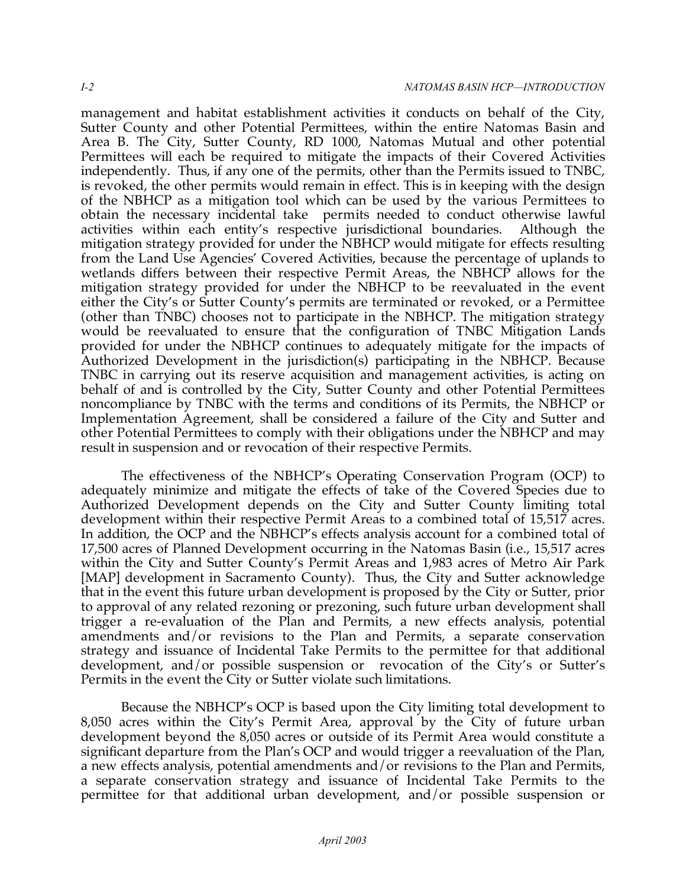management and habitat establishment activities it conducts on behalf of the City, Sutter County and other Potential Permittees, within the entire Natomas Basin and Area B. The City, Sutter County, RD 1000, Natomas Mutual and other potential Permittees will each be required to mitigate the impacts of their Covered Activities independently. Thus, if any one of the permits, other than the Permits issued to TNBC, is revoked, the other permits would remain in effect. This is in keeping with the design of the NBHCP as a mitigation tool which can be used by the various Permittees to obtain the necessary incidental take permits needed to conduct otherwise lawful activities within each entity's respective jurisdictional boundaries. Although the mitigation strategy provided for under the NBHCP would mitigate for effects resulting from the Land Use Agencies' Covered Activities, because the percentage of uplands to wetlands differs between their respective Permit Areas, the NBHCP allows for the mitigation strategy provided for under the NBHCP to be reevaluated in the event either the City's or Sutter County's permits are terminated or revoked, or a Permittee (other than TNBC) chooses not to participate in the NBHCP. The mitigation strategy would be reevaluated to ensure that the configuration of TNBC Mitigation Lands provided for under the NBHCP continues to adequately mitigate for the impacts of Authorized Development in the jurisdiction(s) participating in the NBHCP. Because TNBC in carrying out its reserve acquisition and management activities, is acting on behalf of and is controlled by the City, Sutter County and other Potential Permittees noncompliance by TNBC with the terms and conditions of its Permits, the NBHCP or Implementation Agreement, shall be considered a failure of the City and Sutter and other Potential Permittees to comply with their obligations under the NBHCP and may result in suspension and or revocation of their respective Permits.

 The effectiveness of the NBHCP's Operating Conservation Program (OCP) to adequately minimize and mitigate the effects of take of the Covered Species due to Authorized Development depends on the City and Sutter County limiting total development within their respective Permit Areas to a combined total of 15,517 acres. In addition, the OCP and the NBHCP's effects analysis account for a combined total of 17,500 acres of Planned Development occurring in the Natomas Basin (i.e., 15,517 acres within the City and Sutter County's Permit Areas and 1,983 acres of Metro Air Park [MAP] development in Sacramento County). Thus, the City and Sutter acknowledge that in the event this future urban development is proposed by the City or Sutter, prior to approval of any related rezoning or prezoning, such future urban development shall trigger a re-evaluation of the Plan and Permits, a new effects analysis, potential amendments and/or revisions to the Plan and Permits, a separate conservation strategy and issuance of Incidental Take Permits to the permittee for that additional development, and/or possible suspension or revocation of the City's or Sutter's Permits in the event the City or Sutter violate such limitations.

 Because the NBHCP's OCP is based upon the City limiting total development to 8,050 acres within the City's Permit Area, approval by the City of future urban development beyond the 8,050 acres or outside of its Permit Area would constitute a significant departure from the Plan's OCP and would trigger a reevaluation of the Plan, a new effects analysis, potential amendments and/or revisions to the Plan and Permits, a separate conservation strategy and issuance of Incidental Take Permits to the permittee for that additional urban development, and/or possible suspension or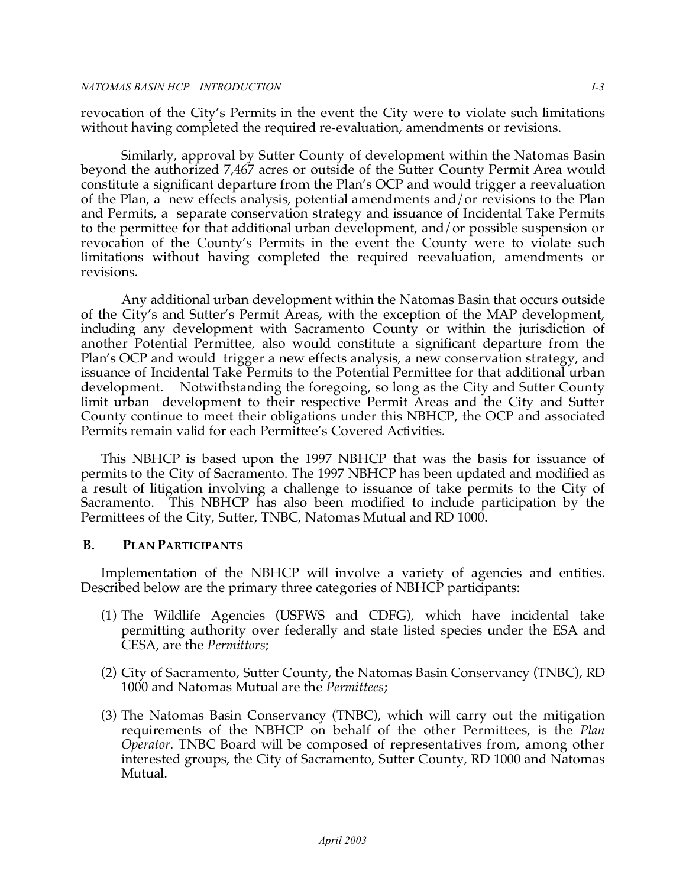revocation of the City's Permits in the event the City were to violate such limitations without having completed the required re-evaluation, amendments or revisions.

 Similarly, approval by Sutter County of development within the Natomas Basin beyond the authorized 7,467 acres or outside of the Sutter County Permit Area would constitute a significant departure from the Plan's OCP and would trigger a reevaluation of the Plan, a new effects analysis, potential amendments and/or revisions to the Plan and Permits, a separate conservation strategy and issuance of Incidental Take Permits to the permittee for that additional urban development, and/or possible suspension or revocation of the County's Permits in the event the County were to violate such limitations without having completed the required reevaluation, amendments or revisions.

 Any additional urban development within the Natomas Basin that occurs outside of the City's and Sutter's Permit Areas, with the exception of the MAP development, including any development with Sacramento County or within the jurisdiction of another Potential Permittee, also would constitute a significant departure from the Plan's OCP and would trigger a new effects analysis, a new conservation strategy, and issuance of Incidental Take Permits to the Potential Permittee for that additional urban development. Notwithstanding the foregoing, so long as the City and Sutter County limit urban development to their respective Permit Areas and the City and Sutter County continue to meet their obligations under this NBHCP, the OCP and associated Permits remain valid for each Permittee's Covered Activities.

 This NBHCP is based upon the 1997 NBHCP that was the basis for issuance of permits to the City of Sacramento. The 1997 NBHCP has been updated and modified as a result of litigation involving a challenge to issuance of take permits to the City of Sacramento. This NBHCP has also been modified to include participation by the Permittees of the City, Sutter, TNBC, Natomas Mutual and RD 1000.

## **B. PLAN PARTICIPANTS**

 Implementation of the NBHCP will involve a variety of agencies and entities. Described below are the primary three categories of NBHCP participants:

- (1) The Wildlife Agencies (USFWS and CDFG), which have incidental take permitting authority over federally and state listed species under the ESA and CESA, are the *Permittors*;
- (2) City of Sacramento, Sutter County, the Natomas Basin Conservancy (TNBC), RD 1000 and Natomas Mutual are the *Permittees*;
- (3) The Natomas Basin Conservancy (TNBC), which will carry out the mitigation requirements of the NBHCP on behalf of the other Permittees, is the *Plan Operator*. TNBC Board will be composed of representatives from, among other interested groups, the City of Sacramento, Sutter County, RD 1000 and Natomas Mutual.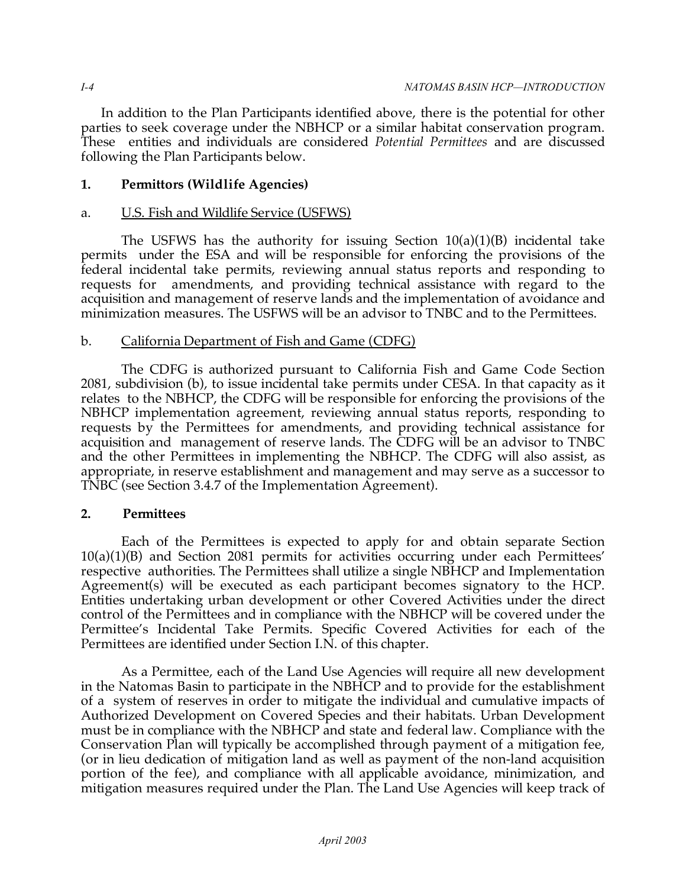In addition to the Plan Participants identified above, there is the potential for other parties to seek coverage under the NBHCP or a similar habitat conservation program. These entities and individuals are considered *Potential Permittees* and are discussed following the Plan Participants below.

# **1. Permittors (Wildlife Agencies)**

## a. U.S. Fish and Wildlife Service (USFWS)

 The USFWS has the authority for issuing Section 10(a)(1)(B) incidental take permits under the ESA and will be responsible for enforcing the provisions of the federal incidental take permits, reviewing annual status reports and responding to requests for acquisition and management of reserve lands and the implementation of avoidance and minimization measures. The USFWS will be an advisor to TNBC and to the Permittees. amendments, and providing technical assistance with regard to the

## b. California Department of Fish and Game (CDFG)

 The CDFG is authorized pursuant to California Fish and Game Code Section 2081, subdivision (b), to issue incidental take permits under CESA. In that capacity as it relates to the NBHCP, the CDFG will be responsible for enforcing the provisions of the NBHCP implementation agreement, reviewing annual status reports, responding to requests by the Permittees for amendments, and providing technical assistance for acquisition and management of reserve lands. The CDFG will be an advisor to TNBC and the other Permittees in implementing the NBHCP. The CDFG will also assist, as appropriate, in reserve establishment and management and may serve as a successor to TNBC (see Section 3.4.7 of the Implementation Agreement).

## **2. Permittees**

 Each of the Permittees is expected to apply for and obtain separate Section 10(a)(1)(B) and Section 2081 permits for activities occurring under each Permittees' respective authorities. The Permittees shall utilize a single NBHCP and Implementation Agreement(s) will be executed as each participant becomes signatory to the HCP. Entities undertaking urban development or other Covered Activities under the direct control of the Permittees and in compliance with the NBHCP will be covered under the Permittee's Incidental Take Permits. Specific Covered Activities for each of the Permittees are identified under Section I.N. of this chapter.

 As a Permittee, each of the Land Use Agencies will require all new development in the Natomas Basin to participate in the NBHCP and to provide for the establishment of a system of reserves in order to mitigate the individual and cumulative impacts of Authorized Development on Covered Species and their habitats. Urban Development must be in compliance with the NBHCP and state and federal law. Compliance with the Conservation Plan will typically be accomplished through payment of a mitigation fee, (or in lieu dedication of mitigation land as well as payment of the non-land acquisition portion of the fee), and compliance with all applicable avoidance, minimization, and mitigation measures required under the Plan. The Land Use Agencies will keep track of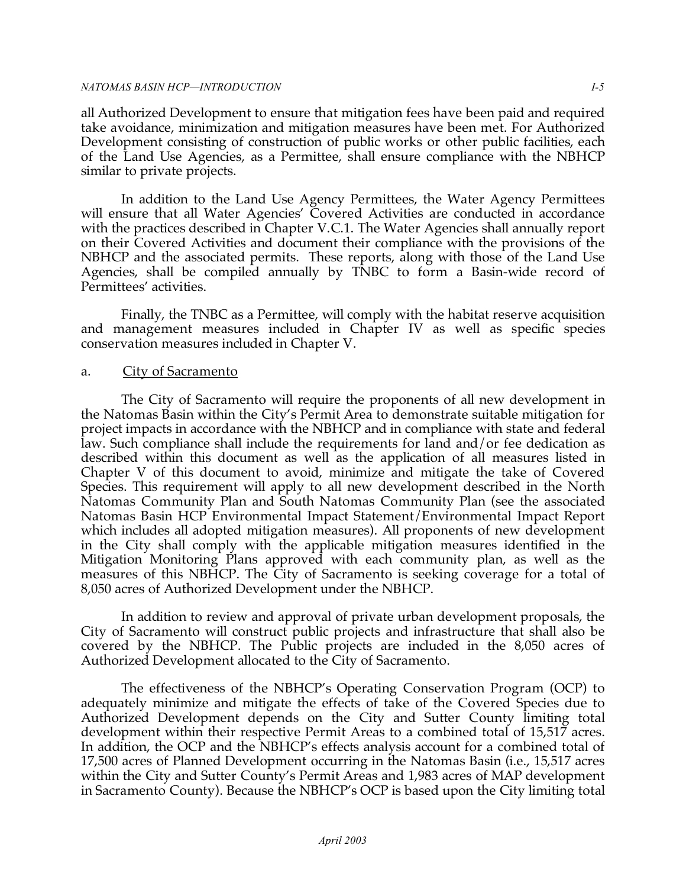all Authorized Development to ensure that mitigation fees have been paid and required take avoidance, minimization and mitigation measures have been met. For Authorized Development consisting of construction of public works or other public facilities, each of the Land Use Agencies, as a Permittee, shall ensure compliance with the NBHCP similar to private projects.

 In addition to the Land Use Agency Permittees, the Water Agency Permittees will ensure that all Water Agencies' Covered Activities are conducted in accordance with the practices described in Chapter V.C.1. The Water Agencies shall annually report on their Covered Activities and document their compliance with the provisions of the NBHCP and the associated permits. These reports, along with those of the Land Use Agencies, shall be compiled annually by TNBC to form a Basin-wide record of Permittees' activities.

 Finally, the TNBC as a Permittee, will comply with the habitat reserve acquisition and management measures included in Chapter IV as well as specific species conservation measures included in Chapter V.

## a. City of Sacramento

 The City of Sacramento will require the proponents of all new development in the Natomas Basin within the City's Permit Area to demonstrate suitable mitigation for project impacts in accordance with the NBHCP and in compliance with state and federal law. Such compliance shall include the requirements for land and/or fee dedication as described within this document as well as the application of all measures listed in Chapter V of this document to avoid, minimize and mitigate the take of Covered Species. This requirement will apply to all new development described in the North Natomas Community Plan and South Natomas Community Plan (see the associated Natomas Basin HCP Environmental Impact Statement/Environmental Impact Report which includes all adopted mitigation measures). All proponents of new development in the City shall comply with the applicable mitigation measures identified in the Mitigation Monitoring Plans approved with each community plan, as well as the measures of this NBHCP. The City of Sacramento is seeking coverage for a total of 8,050 acres of Authorized Development under the NBHCP.

 In addition to review and approval of private urban development proposals, the City of Sacramento will construct public projects and infrastructure that shall also be covered by the NBHCP. The Public projects are included in the 8,050 acres of Authorized Development allocated to the City of Sacramento.

 The effectiveness of the NBHCP's Operating Conservation Program (OCP) to adequately minimize and mitigate the effects of take of the Covered Species due to Authorized Development depends on the City and Sutter County limiting total development within their respective Permit Areas to a combined total of 15,517 acres. In addition, the OCP and the NBHCP's effects analysis account for a combined total of 17,500 acres of Planned Development occurring in the Natomas Basin (i.e., 15,517 acres within the City and Sutter County's Permit Areas and 1,983 acres of MAP development in Sacramento County). Because the NBHCP's OCP is based upon the City limiting total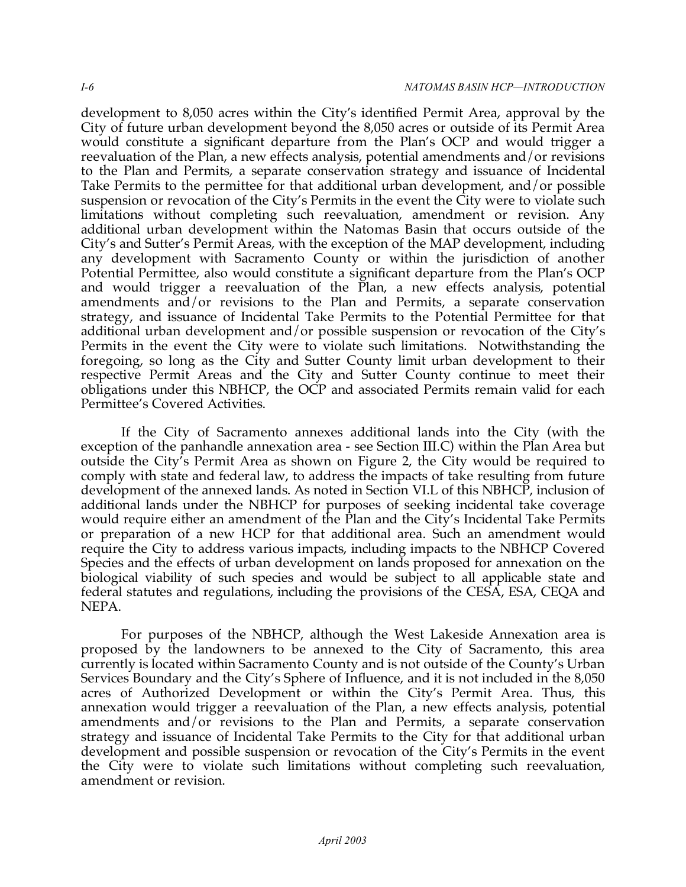development to 8,050 acres within the City's identified Permit Area, approval by the City of future urban development beyond the 8,050 acres or outside of its Permit Area would constitute a significant departure from the Plan's OCP and would trigger a reevaluation of the Plan, a new effects analysis, potential amendments and/or revisions to the Plan and Permits, a separate conservation strategy and issuance of Incidental Take Permits to the permittee for that additional urban development, and/or possible suspension or revocation of the City's Permits in the event the City were to violate such limitations without completing such reevaluation, amendment or revision. Any additional urban development within the Natomas Basin that occurs outside of the City's and Sutter's Permit Areas, with the exception of the MAP development, including any development with Sacramento County or within the jurisdiction of another Potential Permittee, also would constitute a significant departure from the Plan's OCP and would trigger a reevaluation of the Plan, a new effects analysis, potential amendments and/or revisions to the Plan and Permits, a separate conservation strategy, and issuance of Incidental Take Permits to the Potential Permittee for that additional urban development and/or possible suspension or revocation of the City's Permits in the event the City were to violate such limitations. Notwithstanding the foregoing, so long as the City and Sutter County limit urban development to their respective Permit Areas and the City and Sutter County continue to meet their obligations under this NBHCP, the OCP and associated Permits remain valid for each Permittee's Covered Activities.

 If the City of Sacramento annexes additional lands into the City (with the exception of the panhandle annexation area - see Section III.C) within the Plan Area but outside the City's Permit Area as shown on Figure 2, the City would be required to comply with state and federal law, to address the impacts of take resulting from future development of the annexed lands. As noted in Section VI.L of this NBHCP, inclusion of additional lands under the NBHCP for purposes of seeking incidental take coverage would require either an amendment of the Plan and the City's Incidental Take Permits or preparation of a new HCP for that additional area. Such an amendment would require the City to address various impacts, including impacts to the NBHCP Covered Species and the effects of urban development on lands proposed for annexation on the biological viability of such species and would be subject to all applicable state and federal statutes and regulations, including the provisions of the CESA, ESA, CEQA and NEPA.

 For purposes of the NBHCP, although the West Lakeside Annexation area is proposed by the landowners to be annexed to the City of Sacramento, this area currently is located within Sacramento County and is not outside of the County's Urban Services Boundary and the City's Sphere of Influence, and it is not included in the 8,050 acres of Authorized Development or within the City's Permit Area. Thus, this annexation would trigger a reevaluation of the Plan, a new effects analysis, potential amendments and/or revisions to the Plan and Permits, a separate conservation strategy and issuance of Incidental Take Permits to the City for that additional urban development and possible suspension or revocation of the City's Permits in the event the City were to violate such limitations without completing such reevaluation, amendment or revision.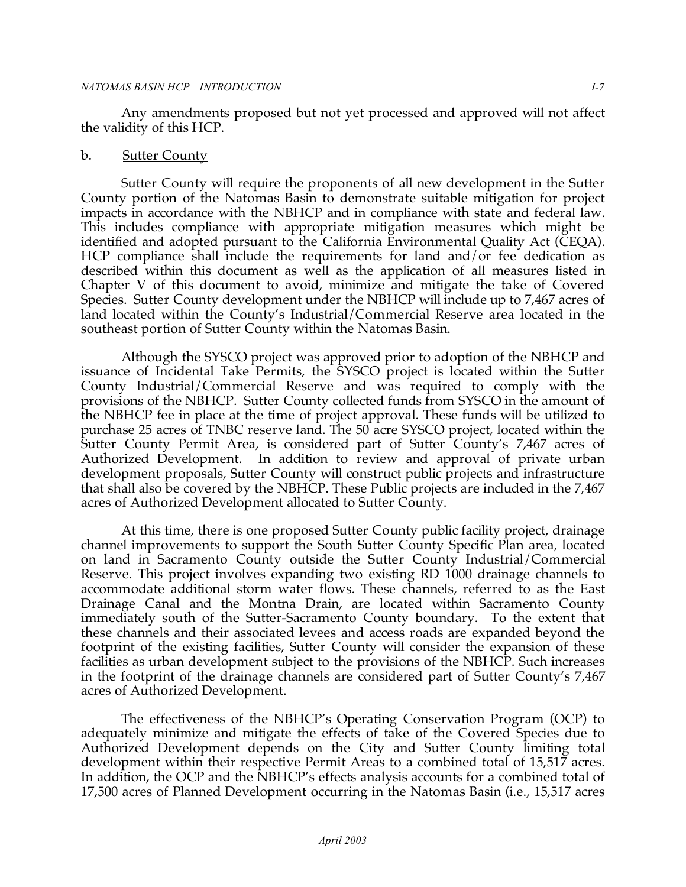#### *NATOMAS BASIN HCP—INTRODUCTION I-7*

 Any amendments proposed but not yet processed and approved will not affect the validity of this HCP.

#### b. Sutter County

 Sutter County will require the proponents of all new development in the Sutter County portion of the Natomas Basin to demonstrate suitable mitigation for project impacts in accordance with the NBHCP and in compliance with state and federal law. This includes compliance with appropriate mitigation measures which might be identified and adopted pursuant to the California Environmental Quality Act (CEQA). HCP compliance shall include the requirements for land and/or fee dedication as described within this document as well as the application of all measures listed in Chapter V of this document to avoid, minimize and mitigate the take of Covered Species. Sutter County development under the NBHCP will include up to 7,467 acres of land located within the County's Industrial/Commercial Reserve area located in the southeast portion of Sutter County within the Natomas Basin.

 Although the SYSCO project was approved prior to adoption of the NBHCP and issuance of Incidental Take Permits, the SYSCO project is located within the Sutter County Industrial/Commercial Reserve and was required to comply with the provisions of the NBHCP. Sutter County collected funds from SYSCO in the amount of the NBHCP fee in place at the time of project approval. These funds will be utilized to purchase 25 acres of TNBC reserve land. The 50 acre SYSCO project, located within the Sutter County Permit Area, is considered part of Sutter County's 7,467 acres of Authorized Development. In addition to review and approval of private urban development proposals, Sutter County will construct public projects and infrastructure that shall also be covered by the NBHCP. These Public projects are included in the 7,467 acres of Authorized Development allocated to Sutter County.

 At this time, there is one proposed Sutter County public facility project, drainage channel improvements to support the South Sutter County Specific Plan area, located on land in Sacramento County outside the Sutter County Industrial/Commercial Reserve. This project involves expanding two existing RD 1000 drainage channels to accommodate additional storm water flows. These channels, referred to as the East Drainage Canal and the Montna Drain, are located within Sacramento County immediately south of the Sutter-Sacramento County boundary. To the extent that these channels and their associated levees and access roads are expanded beyond the footprint of the existing facilities, Sutter County will consider the expansion of these facilities as urban development subject to the provisions of the NBHCP. Such increases in the footprint of the drainage channels are considered part of Sutter County's 7,467 acres of Authorized Development.

 The effectiveness of the NBHCP's Operating Conservation Program (OCP) to adequately minimize and mitigate the effects of take of the Covered Species due to Authorized Development depends on the City and Sutter County limiting total development within their respective Permit Areas to a combined total of 15,517 acres. In addition, the OCP and the NBHCP's effects analysis accounts for a combined total of 17,500 acres of Planned Development occurring in the Natomas Basin (i.e., 15,517 acres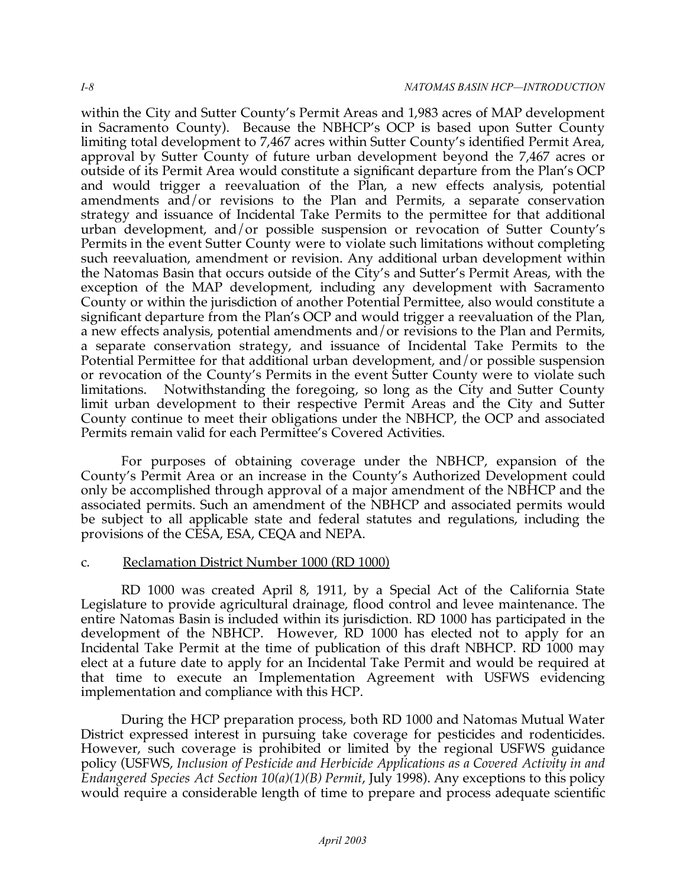within the City and Sutter County's Permit Areas and 1,983 acres of MAP development in Sacramento County). Because the NBHCP's OCP is based upon Sutter County limiting total development to 7,467 acres within Sutter County's identified Permit Area, approval by Sutter County of future urban development beyond the 7,467 acres or outside of its Permit Area would constitute a significant departure from the Plan's OCP and would trigger a reevaluation of the Plan, a new effects analysis, potential amendments and/or revisions to the Plan and Permits, a separate conservation strategy and issuance of Incidental Take Permits to the permittee for that additional urban development, and/or possible suspension or revocation of Sutter County's Permits in the event Sutter County were to violate such limitations without completing such reevaluation, amendment or revision. Any additional urban development within the Natomas Basin that occurs outside of the City's and Sutter's Permit Areas, with the exception of the MAP development, including any development with Sacramento County or within the jurisdiction of another Potential Permittee, also would constitute a significant departure from the Plan's OCP and would trigger a reevaluation of the Plan, a new effects analysis, potential amendments and/or revisions to the Plan and Permits, a separate conservation strategy, and issuance of Incidental Take Permits to the Potential Permittee for that additional urban development, and/or possible suspension or revocation of the County's Permits in the event Sutter County were to violate such limitations. limit urban development to their respective Permit Areas and the City and Sutter County continue to meet their obligations under the NBHCP, the OCP and associated Permits remain valid for each Permittee's Covered Activities. Notwithstanding the foregoing, so long as the City and Sutter County

 For purposes of obtaining coverage under the NBHCP, expansion of the County's Permit Area or an increase in the County's Authorized Development could only be accomplished through approval of a major amendment of the NBHCP and the associated permits. Such an amendment of the NBHCP and associated permits would be subject to all applicable state and federal statutes and regulations, including the provisions of the CESA, ESA, CEQA and NEPA.

## c. Reclamation District Number 1000 (RD 1000)

 RD 1000 was created April 8, 1911, by a Special Act of the California State Legislature to provide agricultural drainage, flood control and levee maintenance. The entire Natomas Basin is included within its jurisdiction. RD 1000 has participated in the development of the NBHCP. However, RD 1000 has elected not to apply for an Incidental Take Permit at the time of publication of this draft NBHCP. RD 1000 may elect at a future date to apply for an Incidental Take Permit and would be required at that time to execute an Implementation Agreement with USFWS evidencing implementation and compliance with this HCP.

 During the HCP preparation process, both RD 1000 and Natomas Mutual Water District expressed interest in pursuing take coverage for pesticides and rodenticides. However, such coverage is prohibited or limited by the regional USFWS guidance policy (USFWS, *Inclusion of Pesticide and Herbicide Applications as a Covered Activity in and Endangered Species Act Section 10(a)(1)(B) Permit*, July 1998). Any exceptions to this policy would require a considerable length of time to prepare and process adequate scientific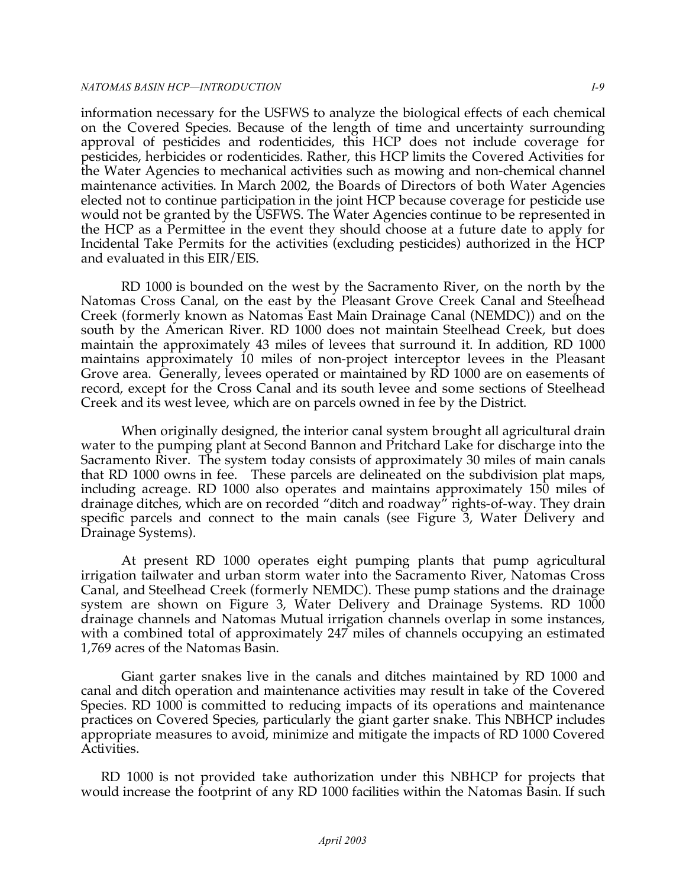#### *NATOMAS BASIN HCP—INTRODUCTION I-9*

 information necessary for the USFWS to analyze the biological effects of each chemical on the Covered Species. Because of the length of time and uncertainty surrounding approval of pesticides and rodenticides, this HCP does not include coverage for pesticides, herbicides or rodenticides. Rather, this HCP limits the Covered Activities for the Water Agencies to mechanical activities such as mowing and non-chemical channel maintenance activities. In March 2002, the Boards of Directors of both Water Agencies elected not to continue participation in the joint HCP because coverage for pesticide use would not be granted by the USFWS. The Water Agencies continue to be represented in the HCP as a Permittee in the event they should choose at a future date to apply for Incidental Take Permits for the activities (excluding pesticides) authorized in the HCP and evaluated in this EIR/EIS.

 RD 1000 is bounded on the west by the Sacramento River, on the north by the Natomas Cross Canal, on the east by the Pleasant Grove Creek Canal and Steelhead Creek (formerly known as Natomas East Main Drainage Canal (NEMDC)) and on the south by the American River. RD 1000 does not maintain Steelhead Creek, but does maintain the approximately 43 miles of levees that surround it. In addition, RD 1000 maintains approximately 10 miles of non-project interceptor levees in the Pleasant Grove area. Generally, levees operated or maintained by RD 1000 are on easements of record, except for the Cross Canal and its south levee and some sections of Steelhead Creek and its west levee, which are on parcels owned in fee by the District.

 When originally designed, the interior canal system brought all agricultural drain water to the pumping plant at Second Bannon and Pritchard Lake for discharge into the Sacramento River. The system today consists of approximately 30 miles of main canals that RD 1000 owns in fee. These parcels are delineated on the subdivision plat maps, including acreage. RD 1000 also operates and maintains approximately 150 miles of drainage ditches, which are on recorded "ditch and roadway" rights-of-way. They drain specific parcels and connect to the main canals (see Figure 3, Water Delivery and Drainage Systems).

 At present RD 1000 operates eight pumping plants that pump agricultural irrigation tailwater and urban storm water into the Sacramento River, Natomas Cross Canal, and Steelhead Creek (formerly NEMDC). These pump stations and the drainage system are shown on Figure 3, Water Delivery and Drainage Systems. RD 1000 drainage channels and Natomas Mutual irrigation channels overlap in some instances, with a combined total of approximately 247 miles of channels occupying an estimated 1,769 acres of the Natomas Basin.

 Giant garter snakes live in the canals and ditches maintained by RD 1000 and canal and ditch operation and maintenance activities may result in take of the Covered Species. RD 1000 is committed to reducing impacts of its operations and maintenance practices on Covered Species, particularly the giant garter snake. This NBHCP includes appropriate measures to avoid, minimize and mitigate the impacts of RD 1000 Covered Activities.

 RD 1000 is not provided take authorization under this NBHCP for projects that would increase the footprint of any RD 1000 facilities within the Natomas Basin. If such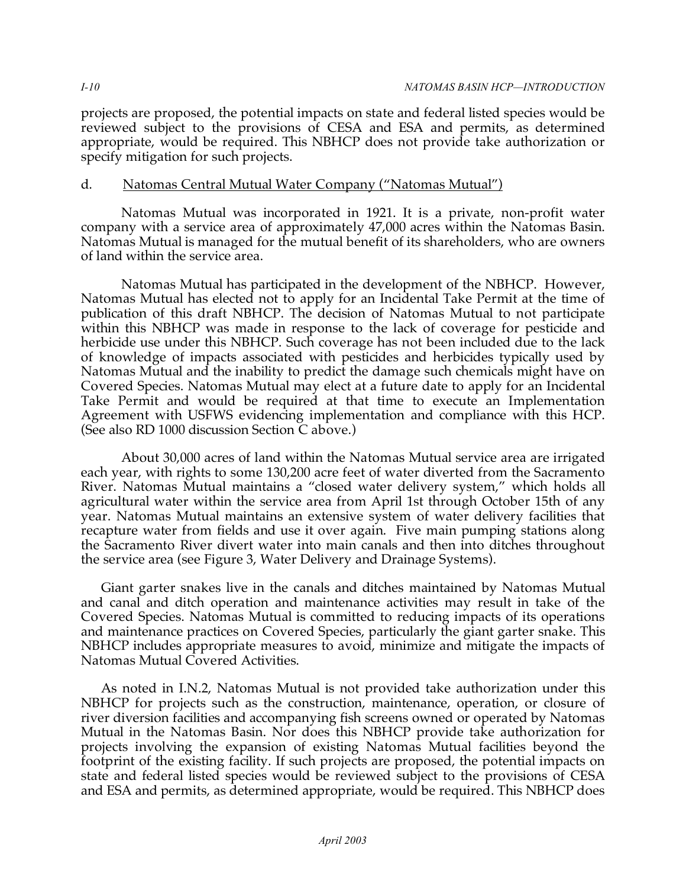projects are proposed, the potential impacts on state and federal listed species would be reviewed subject to the provisions of CESA and ESA and permits, as determined appropriate, would be required. This NBHCP does not provide take authorization or specify mitigation for such projects.

# d. Natomas Central Mutual Water Company ("Natomas Mutual")

 Natomas Mutual was incorporated in 1921. It is a private, non-profit water company with a service area of approximately 47,000 acres within the Natomas Basin. Natomas Mutual is managed for the mutual benefit of its shareholders, who are owners of land within the service area.

 Natomas Mutual has participated in the development of the NBHCP. However, Natomas Mutual has elected not to apply for an Incidental Take Permit at the time of publication of this draft NBHCP. The decision of Natomas Mutual to not participate within this NBHCP was made in response to the lack of coverage for pesticide and herbicide use under this NBHCP. Such coverage has not been included due to the lack of knowledge of impacts associated with pesticides and herbicides typically used by Natomas Mutual and the inability to predict the damage such chemicals might have on Covered Species. Natomas Mutual may elect at a future date to apply for an Incidental Take Permit and would be required at that time to execute an Implementation Agreement with USFWS evidencing implementation and compliance with this HCP. (See also RD 1000 discussion Section C above.)

 About 30,000 acres of land within the Natomas Mutual service area are irrigated each year, with rights to some 130,200 acre feet of water diverted from the Sacramento River. Natomas Mutual maintains a "closed water delivery system," which holds all agricultural water within the service area from April 1st through October 15th of any year. Natomas Mutual maintains an extensive system of water delivery facilities that recapture water from fields and use it over again. Five main pumping stations along the Sacramento River divert water into main canals and then into ditches throughout the service area (see Figure 3, Water Delivery and Drainage Systems).

 Giant garter snakes live in the canals and ditches maintained by Natomas Mutual and canal and ditch operation and maintenance activities may result in take of the Covered Species. Natomas Mutual is committed to reducing impacts of its operations and maintenance practices on Covered Species, particularly the giant garter snake. This NBHCP includes appropriate measures to avoid, minimize and mitigate the impacts of Natomas Mutual Covered Activities.

 As noted in I.N.2, Natomas Mutual is not provided take authorization under this NBHCP for projects such as the construction, maintenance, operation, or closure of river diversion facilities and accompanying fish screens owned or operated by Natomas Mutual in the Natomas Basin. Nor does this NBHCP provide take authorization for projects involving the expansion of existing Natomas Mutual facilities beyond the footprint of the existing facility. If such projects are proposed, the potential impacts on state and federal listed species would be reviewed subject to the provisions of CESA and ESA and permits, as determined appropriate, would be required. This NBHCP does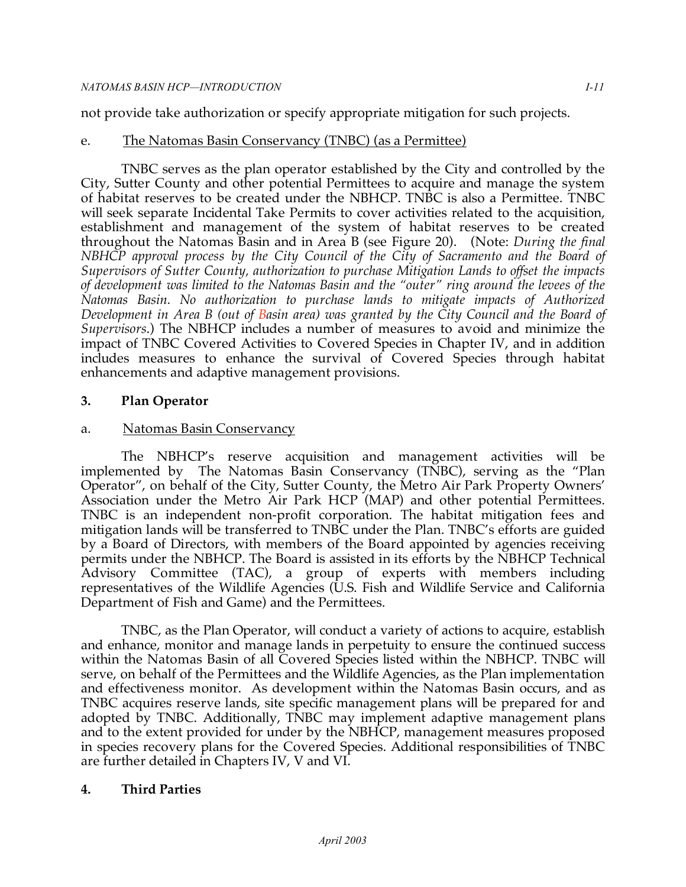not provide take authorization or specify appropriate mitigation for such projects.

# e. The Natomas Basin Conservancy (TNBC) (as a Permittee)

 TNBC serves as the plan operator established by the City and controlled by the City, Sutter County and other potential Permittees to acquire and manage the system of habitat reserves to be created under the NBHCP. TNBC is also a Permittee. TNBC will seek separate Incidental Take Permits to cover activities related to the acquisition, establishment and management of the system of habitat reserves to be created throughout the Natomas Basin and in Area B (see Figure 20). (Note: *During the final NBHCP approval process by the City Council of the City of Sacramento and the Board of Supervisors of Sutter County, authorization to purchase Mitigation Lands to offset the impacts of development was limited to the Natomas Basin and the "outer" ring around the levees of the Natomas Basin. No authorization to purchase lands to mitigate impacts of Authorized Development in Area B (out of Basin area) was granted by the City Council and the Board of Supervisors*.) The NBHCP includes a number of measures to avoid and minimize the impact of TNBC Covered Activities to Covered Species in Chapter IV, and in addition includes measures to enhance the survival of Covered Species through habitat enhancements and adaptive management provisions.

# **3. Plan Operator**

# a. Natomas Basin Conservancy

 The NBHCP's reserve acquisition and management activities will be implemented by The Natomas Basin Conservancy (TNBC), serving as the "Plan Operator", on behalf of the City, Sutter County, the Metro Air Park Property Owners' Association under the Metro Air Park HCP (MAP) and other potential Permittees. TNBC is an independent non-profit corporation. The habitat mitigation fees and mitigation lands will be transferred to TNBC under the Plan. TNBC's efforts are guided by a Board of Directors, with members of the Board appointed by agencies receiving permits under the NBHCP. The Board is assisted in its efforts by the NBHCP Technical Advisory Committee (TAC), a group of experts with members including representatives of the Wildlife Agencies (U.S. Fish and Wildlife Service and California Department of Fish and Game) and the Permittees.

 TNBC, as the Plan Operator, will conduct a variety of actions to acquire, establish and enhance, monitor and manage lands in perpetuity to ensure the continued success within the Natomas Basin of all Covered Species listed within the NBHCP. TNBC will serve, on behalf of the Permittees and the Wildlife Agencies, as the Plan implementation and effectiveness monitor. As development within the Natomas Basin occurs, and as TNBC acquires reserve lands, site specific management plans will be prepared for and adopted by TNBC. Additionally, TNBC may implement adaptive management plans and to the extent provided for under by the NBHCP, management measures proposed in species recovery plans for the Covered Species. Additional responsibilities of TNBC are further detailed in Chapters IV, V and VI.

# **4. Third Parties**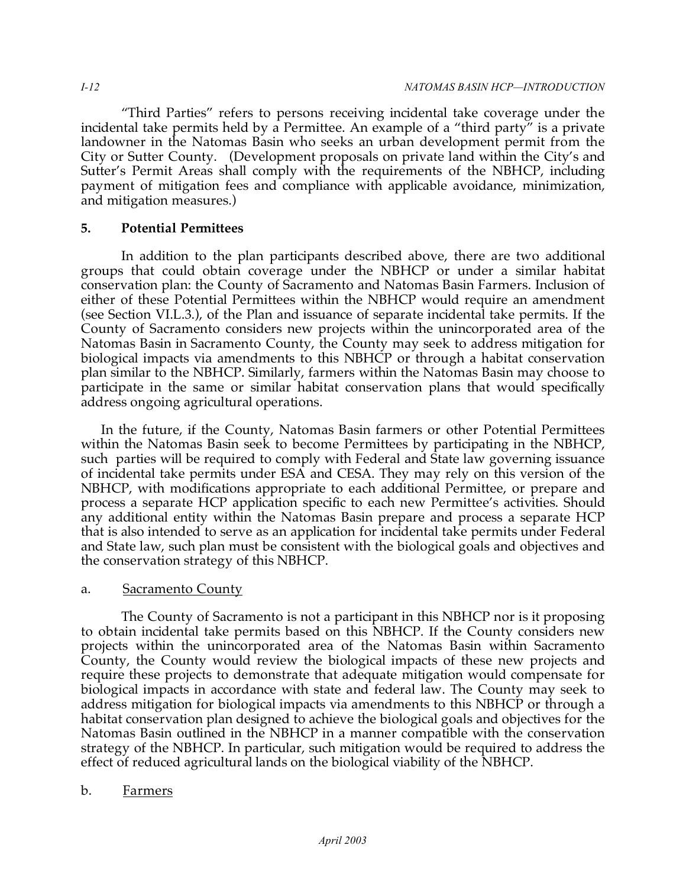"Third Parties" refers to persons receiving incidental take coverage under the incidental take permits held by a Permittee. An example of a "third party" is a private landowner in the Natomas Basin who seeks an urban development permit from the City or Sutter County. (Development proposals on private land within the City's and Sutter's Permit Areas shall comply with the requirements of the NBHCP, including payment of mitigation fees and compliance with applicable avoidance, minimization, and mitigation measures.)

# **5. Potential Permittees**

 In addition to the plan participants described above, there are two additional groups that could obtain coverage under the NBHCP or under a similar habitat conservation plan: the County of Sacramento and Natomas Basin Farmers. Inclusion of either of these Potential Permittees within the NBHCP would require an amendment (see Section VI.L.3.), of the Plan and issuance of separate incidental take permits. If the County of Sacramento considers new projects within the unincorporated area of the Natomas Basin in Sacramento County, the County may seek to address mitigation for biological impacts via amendments to this NBHCP or through a habitat conservation plan similar to the NBHCP. Similarly, farmers within the Natomas Basin may choose to participate in the same or similar habitat conservation plans that would specifically address ongoing agricultural operations.

 In the future, if the County, Natomas Basin farmers or other Potential Permittees within the Natomas Basin seek to become Permittees by participating in the NBHCP, such parties will be required to comply with Federal and State law governing issuance of incidental take permits under ESA and CESA. They may rely on this version of the NBHCP, with modifications appropriate to each additional Permittee, or prepare and process a separate HCP application specific to each new Permittee's activities. Should any additional entity within the Natomas Basin prepare and process a separate HCP that is also intended to serve as an application for incidental take permits under Federal and State law, such plan must be consistent with the biological goals and objectives and the conservation strategy of this NBHCP.

# a. Sacramento County

 The County of Sacramento is not a participant in this NBHCP nor is it proposing to obtain incidental take permits based on this NBHCP. If the County considers new projects within the unincorporated area of the Natomas Basin within Sacramento County, the County would review the biological impacts of these new projects and require these projects to demonstrate that adequate mitigation would compensate for biological impacts in accordance with state and federal law. The County may seek to address mitigation for biological impacts via amendments to this NBHCP or through a habitat conservation plan designed to achieve the biological goals and objectives for the Natomas Basin outlined in the NBHCP in a manner compatible with the conservation strategy of the NBHCP. In particular, such mitigation would be required to address the effect of reduced agricultural lands on the biological viability of the NBHCP.

# b. Farmers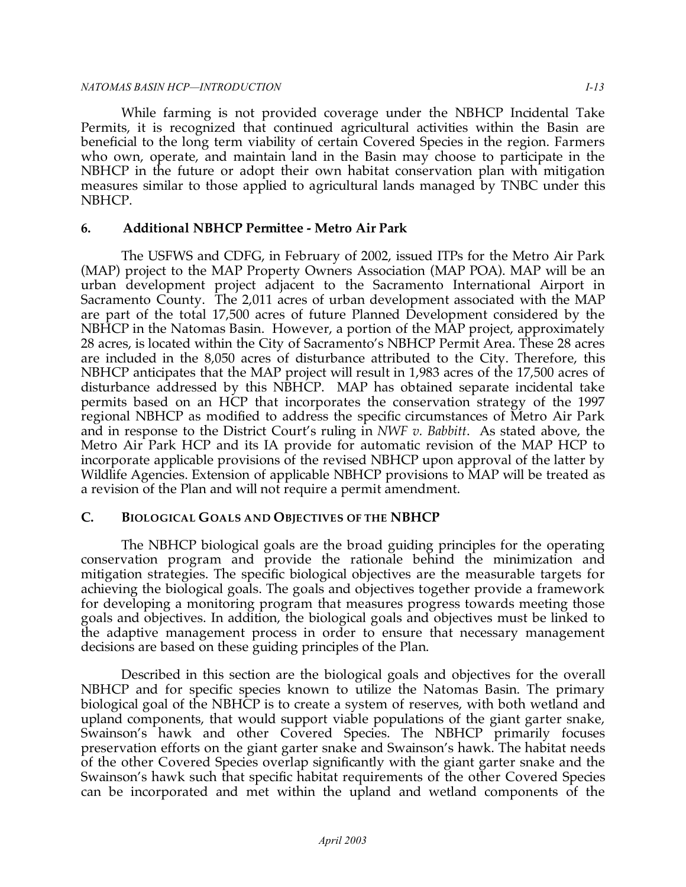#### *NATOMAS BASIN HCP—INTRODUCTION I-13*

 While farming is not provided coverage under the NBHCP Incidental Take Permits, it is recognized that continued agricultural activities within the Basin are beneficial to the long term viability of certain Covered Species in the region. Farmers who own, operate, and maintain land in the Basin may choose to participate in the NBHCP in the future or adopt their own habitat conservation plan with mitigation measures similar to those applied to agricultural lands managed by TNBC under this NBHCP.

# **6. Additional NBHCP Permittee - Metro Air Park**

 The USFWS and CDFG, in February of 2002, issued ITPs for the Metro Air Park (MAP) project to the MAP Property Owners Association (MAP POA). MAP will be an urban development project adjacent to the Sacramento International Airport in Sacramento County. The 2,011 acres of urban development associated with the MAP are part of the total 17,500 acres of future Planned Development considered by the NBHCP in the Natomas Basin. However, a portion of the MAP project, approximately 28 acres, is located within the City of Sacramento's NBHCP Permit Area. These 28 acres are included in the 8,050 acres of disturbance attributed to the City. Therefore, this NBHCP anticipates that the MAP project will result in 1,983 acres of the 17,500 acres of disturbance addressed by this NBHCP. MAP has obtained separate incidental take permits based on an HCP that incorporates the conservation strategy of the 1997 regional NBHCP as modified to address the specific circumstances of Metro Air Park and in response to the District Court's ruling in *NWF v. Babbitt*. As stated above, the Metro Air Park HCP and its IA provide for automatic revision of the MAP HCP to incorporate applicable provisions of the revised NBHCP upon approval of the latter by Wildlife Agencies. Extension of applicable NBHCP provisions to MAP will be treated as a revision of the Plan and will not require a permit amendment.

# **C. BIOLOGICAL GOALS AND OBJECTIVES OF THE NBHCP**

 The NBHCP biological goals are the broad guiding principles for the operating conservation program and provide the rationale behind the minimization and mitigation strategies. The specific biological objectives are the measurable targets for achieving the biological goals. The goals and objectives together provide a framework for developing a monitoring program that measures progress towards meeting those goals and objectives. In addition, the biological goals and objectives must be linked to the adaptive management process in order to ensure that necessary management decisions are based on these guiding principles of the Plan.

 Described in this section are the biological goals and objectives for the overall NBHCP and for specific species known to utilize the Natomas Basin. The primary biological goal of the NBHCP is to create a system of reserves, with both wetland and upland components, that would support viable populations of the giant garter snake, Swainson's hawk and other Covered Species. The NBHCP primarily focuses preservation efforts on the giant garter snake and Swainson's hawk. The habitat needs of the other Covered Species overlap significantly with the giant garter snake and the Swainson's hawk such that specific habitat requirements of the other Covered Species can be incorporated and met within the upland and wetland components of the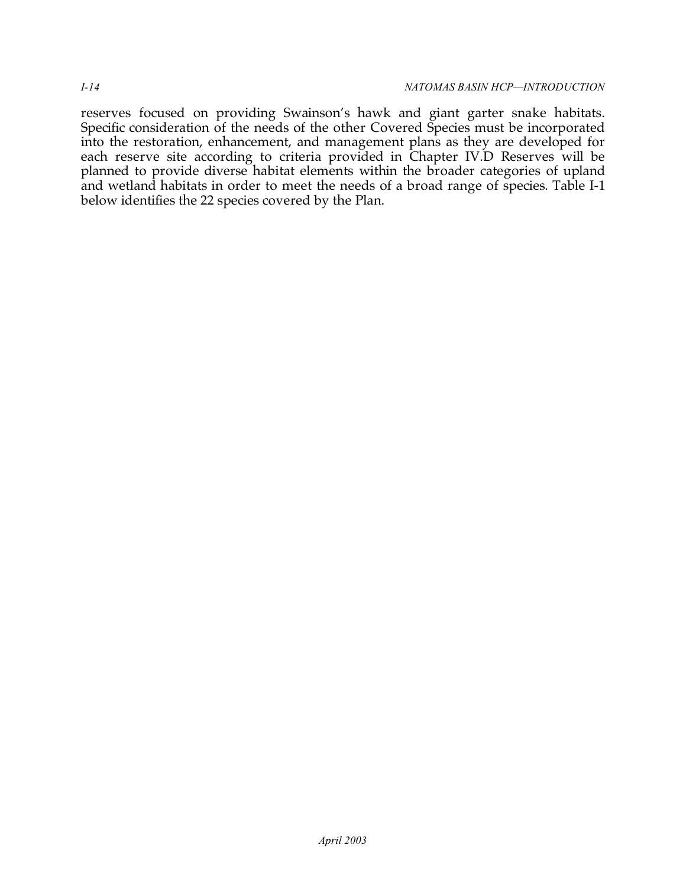reserves focused on providing Swainson's hawk and giant garter snake habitats. Specific consideration of the needs of the other Covered Species must be incorporated into the restoration, enhancement, and management plans as they are developed for each reserve site according to criteria provided in Chapter IV.D Reserves will be planned to provide diverse habitat elements within the broader categories of upland and wetland habitats in order to meet the needs of a broad range of species. Table I-1 below identifies the 22 species covered by the Plan.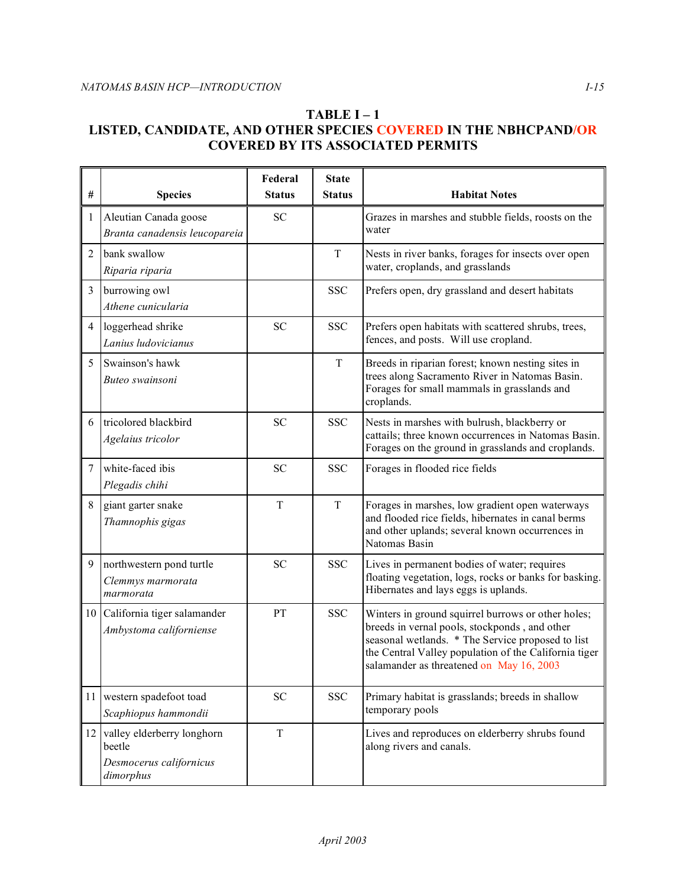## **TABLE I – 1 LISTED, CANDIDATE, AND OTHER SPECIES COVERED IN THE NBHCPAND/OR COVERED BY ITS ASSOCIATED PERMITS**

|                 |                                                                              | Federal       | <b>State</b>  |                                                                                                                                                                                                                                                               |
|-----------------|------------------------------------------------------------------------------|---------------|---------------|---------------------------------------------------------------------------------------------------------------------------------------------------------------------------------------------------------------------------------------------------------------|
| $\#$            | <b>Species</b>                                                               | <b>Status</b> | <b>Status</b> | <b>Habitat Notes</b>                                                                                                                                                                                                                                          |
| 1               | Aleutian Canada goose<br>Branta canadensis leucopareia                       | <b>SC</b>     |               | Grazes in marshes and stubble fields, roosts on the<br>water                                                                                                                                                                                                  |
| $\overline{2}$  | bank swallow<br>Riparia riparia                                              |               | T             | Nests in river banks, forages for insects over open<br>water, croplands, and grasslands                                                                                                                                                                       |
| $\overline{3}$  | burrowing owl<br>Athene cunicularia                                          |               | <b>SSC</b>    | Prefers open, dry grassland and desert habitats                                                                                                                                                                                                               |
| $\overline{4}$  | loggerhead shrike<br>Lanius ludovicianus                                     | <b>SC</b>     | <b>SSC</b>    | Prefers open habitats with scattered shrubs, trees,<br>fences, and posts. Will use cropland.                                                                                                                                                                  |
| 5               | Swainson's hawk<br>Buteo swainsoni                                           |               | $\rm T$       | Breeds in riparian forest; known nesting sites in<br>trees along Sacramento River in Natomas Basin.<br>Forages for small mammals in grasslands and<br>croplands.                                                                                              |
| 6               | tricolored blackbird<br>Agelaius tricolor                                    | <b>SC</b>     | <b>SSC</b>    | Nests in marshes with bulrush, blackberry or<br>cattails; three known occurrences in Natomas Basin.<br>Forages on the ground in grasslands and croplands.                                                                                                     |
| 7               | white-faced ibis<br>Plegadis chihi                                           | <b>SC</b>     | <b>SSC</b>    | Forages in flooded rice fields                                                                                                                                                                                                                                |
| 8               | giant garter snake<br>Thamnophis gigas                                       | T             | $\mathbf T$   | Forages in marshes, low gradient open waterways<br>and flooded rice fields, hibernates in canal berms<br>and other uplands; several known occurrences in<br>Natomas Basin                                                                                     |
| 9               | northwestern pond turtle<br>Clemmys marmorata<br>marmorata                   | SC            | <b>SSC</b>    | Lives in permanent bodies of water; requires<br>floating vegetation, logs, rocks or banks for basking.<br>Hibernates and lays eggs is uplands.                                                                                                                |
| 10 <sup>1</sup> | California tiger salamander<br>Ambystoma californiense                       | PT            | <b>SSC</b>    | Winters in ground squirrel burrows or other holes;<br>breeds in vernal pools, stockponds, and other<br>seasonal wetlands. * The Service proposed to list<br>the Central Valley population of the California tiger<br>salamander as threatened on May 16, 2003 |
| 11              | western spadefoot toad<br>Scaphiopus hammondii                               | <b>SC</b>     | <b>SSC</b>    | Primary habitat is grasslands; breeds in shallow<br>temporary pools                                                                                                                                                                                           |
| 12              | valley elderberry longhorn<br>beetle<br>Desmocerus californicus<br>dimorphus | $\rm T$       |               | Lives and reproduces on elderberry shrubs found<br>along rivers and canals.                                                                                                                                                                                   |

ă.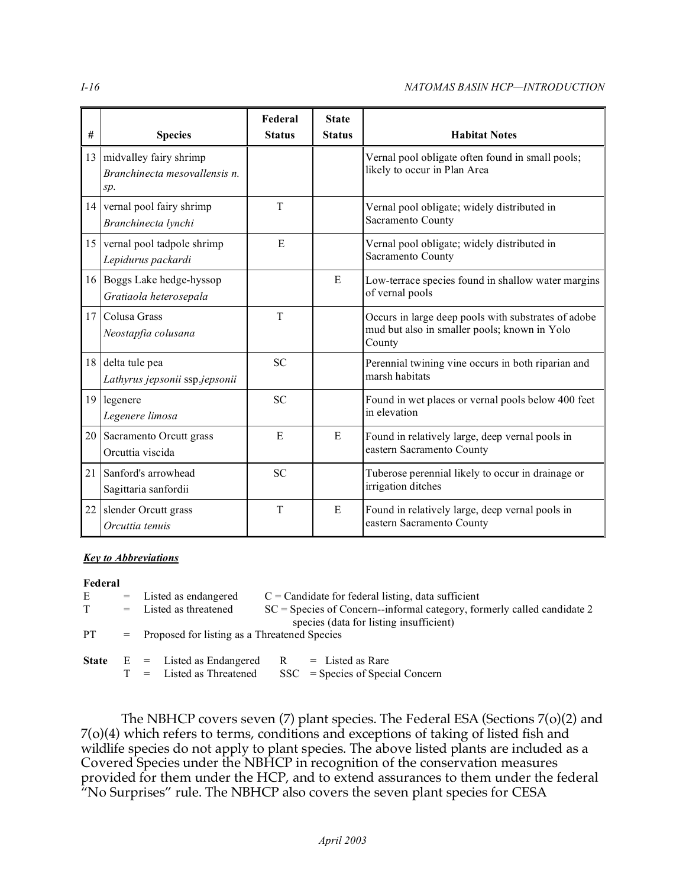#### *I-16 NATOMAS BASIN HCP—INTRODUCTION*

|    |                                                                   | Federal       | <b>State</b>  |                                                                                                               |
|----|-------------------------------------------------------------------|---------------|---------------|---------------------------------------------------------------------------------------------------------------|
| #  | <b>Species</b>                                                    | <b>Status</b> | <b>Status</b> | <b>Habitat Notes</b>                                                                                          |
|    | 13 midvalley fairy shrimp<br>Branchinecta mesovallensis n.<br>sp. |               |               | Vernal pool obligate often found in small pools;<br>likely to occur in Plan Area                              |
|    | 14 vernal pool fairy shrimp<br>Branchinecta lynchi                | T             |               | Vernal pool obligate; widely distributed in<br>Sacramento County                                              |
|    | 15 vernal pool tadpole shrimp<br>Lepidurus packardi               | E             |               | Vernal pool obligate; widely distributed in<br>Sacramento County                                              |
|    | 16 Boggs Lake hedge-hyssop<br>Gratiaola heterosepala              |               | E             | Low-terrace species found in shallow water margins<br>of vernal pools                                         |
|    | 17 Colusa Grass<br>Neostapfia colusana                            | T             |               | Occurs in large deep pools with substrates of adobe<br>mud but also in smaller pools; known in Yolo<br>County |
|    | 18 delta tule pea<br>Lathyrus jepsonii ssp.jepsonii               | <b>SC</b>     |               | Perennial twining vine occurs in both riparian and<br>marsh habitats                                          |
|    | 19 legenere<br>Legenere limosa                                    | <b>SC</b>     |               | Found in wet places or vernal pools below 400 feet<br>in elevation                                            |
|    | 20 Sacramento Orcutt grass<br>Orcuttia viscida                    | E             | E             | Found in relatively large, deep vernal pools in<br>eastern Sacramento County                                  |
| 21 | Sanford's arrowhead<br>Sagittaria sanfordii                       | <b>SC</b>     |               | Tuberose perennial likely to occur in drainage or<br>irrigation ditches                                       |
| 22 | slender Orcutt grass<br>Orcuttia tenuis                           | T             | E             | Found in relatively large, deep vernal pools in<br>eastern Sacramento County                                  |

#### *Key to Abbreviations*

#### **Federal**

| Ε<br>T. | $=$ Listed as endangered<br>$=$ Listed as threatened                                      | $C =$ Candidate for federal listing, data sufficient<br>$SC = Species of Concern-informal category, formerly called candidate 2$ |  |
|---------|-------------------------------------------------------------------------------------------|----------------------------------------------------------------------------------------------------------------------------------|--|
| PT.     | species (data for listing insufficient)<br>= Proposed for listing as a Threatened Species |                                                                                                                                  |  |
|         | <b>State</b> $E =$ Listed as Endangered<br>$T =$ Listed as Threatened                     | $R =$ Listed as Rare<br>$SSC = Species of Special Concern$                                                                       |  |

 The NBHCP covers seven (7) plant species. The Federal ESA (Sections 7(o)(2) and 7(o)(4) which refers to terms, conditions and exceptions of taking of listed fish and wildlife species do not apply to plant species. The above listed plants are included as a Covered Species under the NBHCP in recognition of the conservation measures provided for them under the HCP, and to extend assurances to them under the federal "No Surprises" rule. The NBHCP also covers the seven plant species for CESA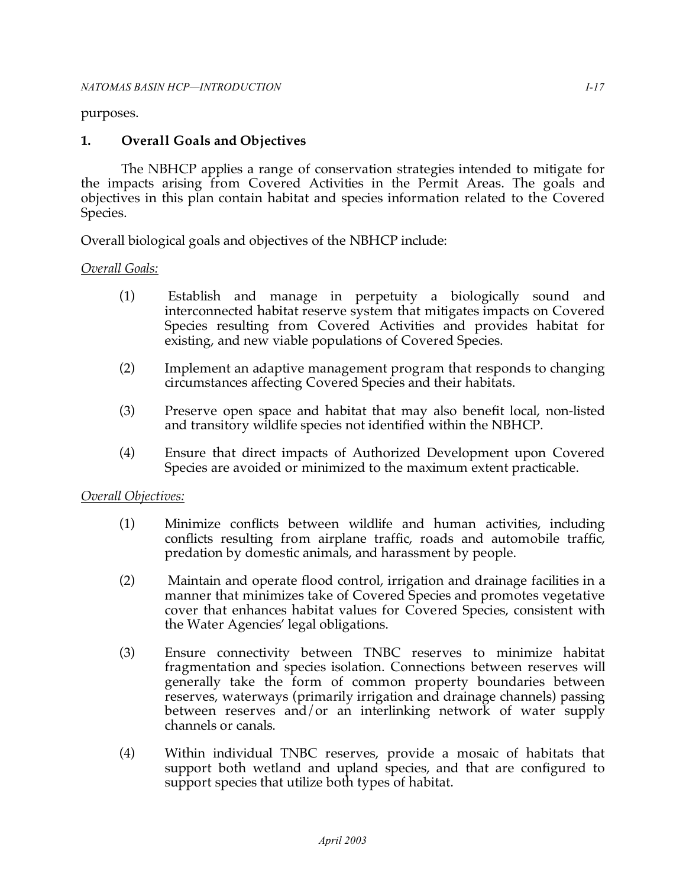#### purposes.

## **1. Overall Goals and Objectives**

 The NBHCP applies a range of conservation strategies intended to mitigate for the impacts arising from Covered Activities in the Permit Areas. The goals and objectives in this plan contain habitat and species information related to the Covered Species.

Overall biological goals and objectives of the NBHCP include:

## *Overall Goals:*

- (1) Establish and manage in perpetuity a biologically sound and interconnected habitat reserve system that mitigates impacts on Covered Species resulting from Covered Activities and provides habitat for existing, and new viable populations of Covered Species.
- (2) Implement an adaptive management program that responds to changing circumstances affecting Covered Species and their habitats.
- (3) Preserve open space and habitat that may also benefit local, non-listed and transitory wildlife species not identified within the NBHCP.
- (4) Ensure that direct impacts of Authorized Development upon Covered Species are avoided or minimized to the maximum extent practicable.

#### *Overall Objectives:*

- (1) Minimize conflicts between wildlife and human activities, including conflicts resulting from airplane traffic, roads and automobile traffic, predation by domestic animals, and harassment by people.
- (2) Maintain and operate flood control, irrigation and drainage facilities in a manner that minimizes take of Covered Species and promotes vegetative cover that enhances habitat values for Covered Species, consistent with the Water Agencies' legal obligations.
- (3) Ensure connectivity between TNBC reserves to minimize habitat fragmentation and species isolation. Connections between reserves will generally take the form of common property boundaries between reserves, waterways (primarily irrigation and drainage channels) passing between reserves and/or an interlinking network of water supply channels or canals.
- (4) Within individual TNBC reserves, provide a mosaic of habitats that support both wetland and upland species, and that are configured to support species that utilize both types of habitat.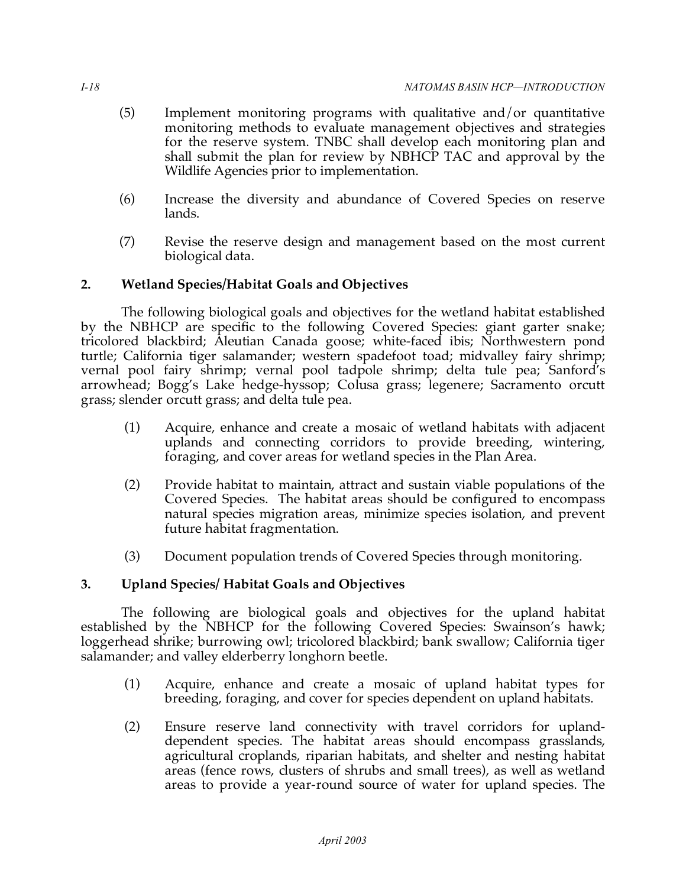- (5) Implement monitoring programs with qualitative and/or quantitative monitoring methods to evaluate management objectives and strategies for the reserve system. TNBC shall develop each monitoring plan and shall submit the plan for review by NBHCP TAC and approval by the Wildlife Agencies prior to implementation.
- (6) Increase the diversity and abundance of Covered Species on reserve lands.
- (7) Revise the reserve design and management based on the most current biological data.

# **2. Wetland Species/Habitat Goals and Objectives**

 The following biological goals and objectives for the wetland habitat established by the NBHCP are specific to the following Covered Species: giant garter snake; tricolored blackbird; Aleutian Canada goose; white-faced ibis; Northwestern pond turtle; California tiger salamander; western spadefoot toad; midvalley fairy shrimp; vernal pool fairy shrimp; vernal pool tadpole shrimp; delta tule pea; Sanford's arrowhead; Bogg's Lake hedge-hyssop; Colusa grass; legenere; Sacramento orcutt grass; slender orcutt grass; and delta tule pea.

- (1) Acquire, enhance and create a mosaic of wetland habitats with adjacent uplands and connecting corridors to provide breeding, wintering, foraging, and cover areas for wetland species in the Plan Area.
- (2) Provide habitat to maintain, attract and sustain viable populations of the Covered Species. The habitat areas should be configured to encompass natural species migration areas, minimize species isolation, and prevent future habitat fragmentation.
- (3) Document population trends of Covered Species through monitoring.

# **3. Upland Species/ Habitat Goals and Objectives**

 The following are biological goals and objectives for the upland habitat established by the NBHCP for the following Covered Species: Swainson's hawk; loggerhead shrike; burrowing owl; tricolored blackbird; bank swallow; California tiger salamander; and valley elderberry longhorn beetle.

- (1) Acquire, enhance and create a mosaic of upland habitat types for breeding, foraging, and cover for species dependent on upland habitats.
- (2) Ensure reserve land connectivity with travel corridors for upland- dependent species. The habitat areas should encompass grasslands, agricultural croplands, riparian habitats, and shelter and nesting habitat areas (fence rows, clusters of shrubs and small trees), as well as wetland areas to provide a year-round source of water for upland species. The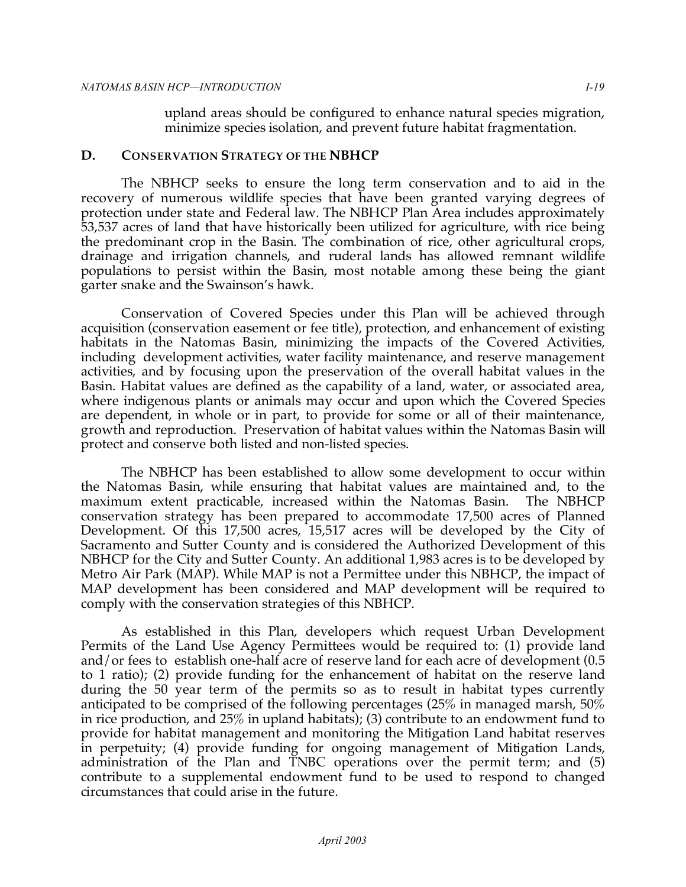upland areas should be configured to enhance natural species migration, minimize species isolation, and prevent future habitat fragmentation.

#### **D. CONSERVATION STRATEGY OF THE NBHCP**

 The NBHCP seeks to ensure the long term conservation and to aid in the recovery of numerous wildlife species that have been granted varying degrees of protection under state and Federal law. The NBHCP Plan Area includes approximately 53,537 acres of land that have historically been utilized for agriculture, with rice being the predominant crop in the Basin. The combination of rice, other agricultural crops, drainage and irrigation channels, and ruderal lands has allowed remnant wildlife populations to persist within the Basin, most notable among these being the giant garter snake and the Swainson's hawk.

 Conservation of Covered Species under this Plan will be achieved through acquisition (conservation easement or fee title), protection, and enhancement of existing habitats in the Natomas Basin, minimizing the impacts of the Covered Activities, including development activities, water facility maintenance, and reserve management activities, and by focusing upon the preservation of the overall habitat values in the Basin. Habitat values are defined as the capability of a land, water, or associated area, where indigenous plants or animals may occur and upon which the Covered Species are dependent, in whole or in part, to provide for some or all of their maintenance, growth and reproduction. Preservation of habitat values within the Natomas Basin will protect and conserve both listed and non-listed species.

 The NBHCP has been established to allow some development to occur within the Natomas Basin, while ensuring that habitat values are maintained and, to the maximum extent practicable, increased within the Natomas Basin. The NBHCP conservation strategy has been prepared to accommodate 17,500 acres of Planned Development. Of this 17,500 acres, 15,517 acres will be developed by the City of Sacramento and Sutter County and is considered the Authorized Development of this NBHCP for the City and Sutter County. An additional 1,983 acres is to be developed by Metro Air Park (MAP). While MAP is not a Permittee under this NBHCP, the impact of MAP development has been considered and MAP development will be required to comply with the conservation strategies of this NBHCP.

 As established in this Plan, developers which request Urban Development Permits of the Land Use Agency Permittees would be required to: (1) provide land and/or fees to establish one-half acre of reserve land for each acre of development (0.5 to 1 ratio); (2) provide funding for the enhancement of habitat on the reserve land during the 50 year term of the permits so as to result in habitat types currently anticipated to be comprised of the following percentages (25% in managed marsh, 50% in rice production, and 25% in upland habitats); (3) contribute to an endowment fund to provide for habitat management and monitoring the Mitigation Land habitat reserves in perpetuity; (4) provide funding for ongoing management of Mitigation Lands, administration of the Plan and TNBC operations over the permit term; and (5) contribute to a supplemental endowment fund to be used to respond to changed circumstances that could arise in the future.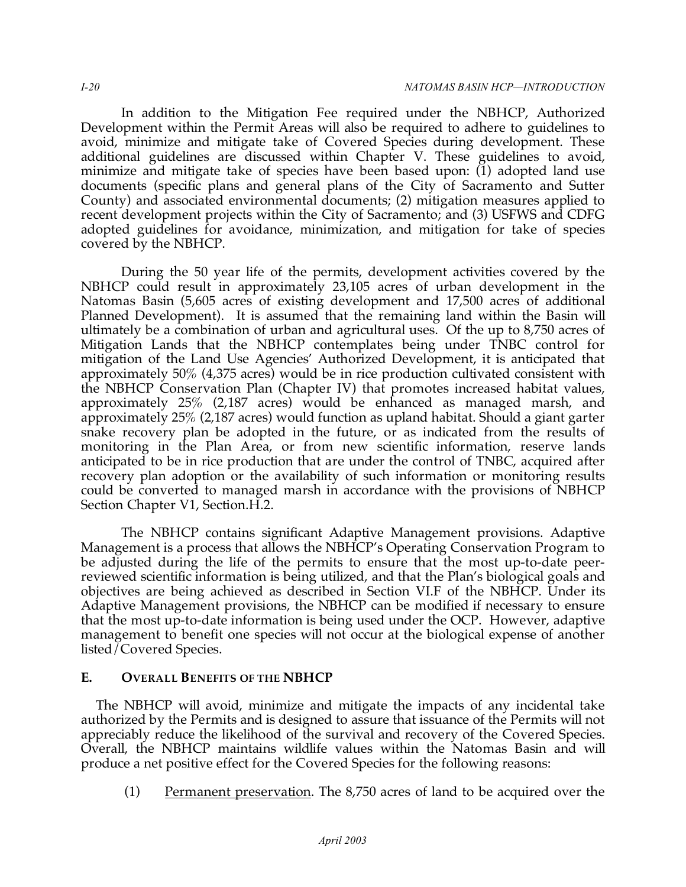In addition to the Mitigation Fee required under the NBHCP, Authorized Development within the Permit Areas will also be required to adhere to guidelines to avoid, minimize and mitigate take of Covered Species during development. These additional guidelines are discussed within Chapter V. These guidelines to avoid, minimize and mitigate take of species have been based upon: (1) adopted land use documents (specific plans and general plans of the City of Sacramento and Sutter County) and associated environmental documents; (2) mitigation measures applied to recent development projects within the City of Sacramento; and (3) USFWS and CDFG adopted guidelines for avoidance, minimization, and mitigation for take of species covered by the NBHCP.

 During the 50 year life of the permits, development activities covered by the NBHCP could result in approximately 23,105 acres of urban development in the Natomas Basin (5,605 acres of existing development and 17,500 acres of additional Planned Development). It is assumed that the remaining land within the Basin will ultimately be a combination of urban and agricultural uses. Of the up to 8,750 acres of Mitigation Lands that the NBHCP contemplates being under TNBC control for mitigation of the Land Use Agencies' Authorized Development, it is anticipated that approximately 50% (4,375 acres) would be in rice production cultivated consistent with the NBHCP Conservation Plan (Chapter IV) that promotes increased habitat values, approximately 25% (2,187 acres) would be enhanced as managed marsh, and approximately 25% (2,187 acres) would function as upland habitat. Should a giant garter snake recovery plan be adopted in the future, or as indicated from the results of monitoring in the Plan Area, or from new scientific information, reserve lands anticipated to be in rice production that are under the control of TNBC, acquired after recovery plan adoption or the availability of such information or monitoring results could be converted to managed marsh in accordance with the provisions of NBHCP Section Chapter V1, Section.H.2.

 The NBHCP contains significant Adaptive Management provisions. Adaptive Management is a process that allows the NBHCP's Operating Conservation Program to be adjusted during the life of the permits to ensure that the most up-to-date peer- reviewed scientific information is being utilized, and that the Plan's biological goals and objectives are being achieved as described in Section VI.F of the NBHCP. Under its Adaptive Management provisions, the NBHCP can be modified if necessary to ensure that the most up-to-date information is being used under the OCP. However, adaptive management to benefit one species will not occur at the biological expense of another listed/Covered Species.

## **E. OVERALL BENEFITS OF THE NBHCP**

 The NBHCP will avoid, minimize and mitigate the impacts of any incidental take authorized by the Permits and is designed to assure that issuance of the Permits will not appreciably reduce the likelihood of the survival and recovery of the Covered Species. Overall, the NBHCP maintains wildlife values within the Natomas Basin and will produce a net positive effect for the Covered Species for the following reasons:

(1) Permanent preservation. The 8,750 acres of land to be acquired over the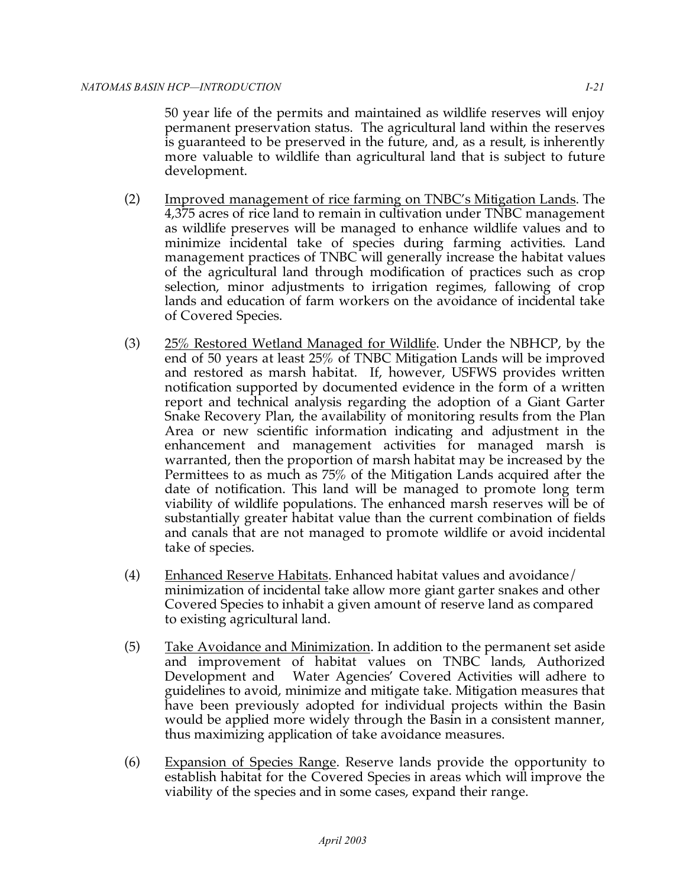50 year life of the permits and maintained as wildlife reserves will enjoy permanent preservation status. The agricultural land within the reserves is guaranteed to be preserved in the future, and, as a result, is inherently more valuable to wildlife than agricultural land that is subject to future development.

- (2) Improved management of rice farming on TNBC's Mitigation Lands. The 4,375 acres of rice land to remain in cultivation under TNBC management as wildlife preserves will be managed to enhance wildlife values and to minimize incidental take of species during farming activities. Land management practices of TNBC will generally increase the habitat values of the agricultural land through modification of practices such as crop selection, minor adjustments to irrigation regimes, fallowing of crop lands and education of farm workers on the avoidance of incidental take of Covered Species.
- (3) 25% Restored Wetland Managed for Wildlife. Under the NBHCP, by the end of 50 years at least 25% of TNBC Mitigation Lands will be improved and restored as marsh habitat. If, however, USFWS provides written notification supported by documented evidence in the form of a written report and technical analysis regarding the adoption of a Giant Garter Snake Recovery Plan, the availability of monitoring results from the Plan Area or new scientific information indicating and adjustment in the enhancement and management activities for managed marsh is warranted, then the proportion of marsh habitat may be increased by the Permittees to as much as 75% of the Mitigation Lands acquired after the date of notification. This land will be managed to promote long term viability of wildlife populations. The enhanced marsh reserves will be of substantially greater habitat value than the current combination of fields and canals that are not managed to promote wildlife or avoid incidental take of species.
- (4) Enhanced Reserve Habitats. Enhanced habitat values and avoidance/ minimization of incidental take allow more giant garter snakes and other Covered Species to inhabit a given amount of reserve land as compared to existing agricultural land.
- $(5)$  and improvement of habitat values on TNBC lands, Authorized Development and Water Agencies' Covered Activities will adhere to guidelines to avoid, minimize and mitigate take. Mitigation measures that have been previously adopted for individual projects within the Basin would be applied more widely through the Basin in a consistent manner, thus maximizing application of take avoidance measures. Take Avoidance and Minimization. In addition to the permanent set aside
- (6) Expansion of Species Range. Reserve lands provide the opportunity to establish habitat for the Covered Species in areas which will improve the viability of the species and in some cases, expand their range.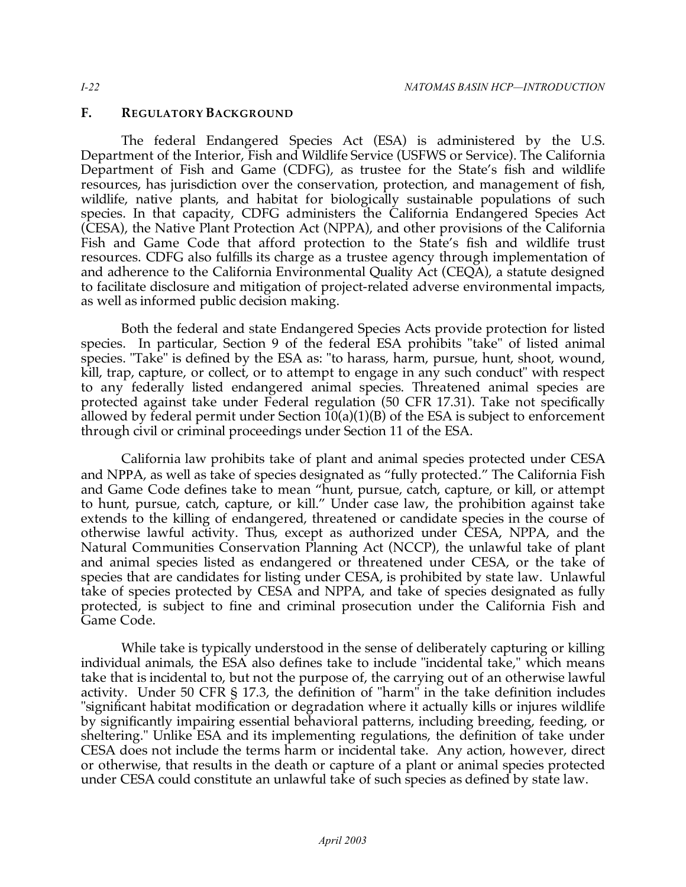#### **F. REGULATORY BACKGROUND**

 The federal Endangered Species Act (ESA) is administered by the U.S. Department of the Interior, Fish and Wildlife Service (USFWS or Service). The California Department of Fish and Game (CDFG), as trustee for the State's fish and wildlife resources, has jurisdiction over the conservation, protection, and management of fish, wildlife, native plants, and habitat for biologically sustainable populations of such species. In that capacity, CDFG administers the California Endangered Species Act (CESA), the Native Plant Protection Act (NPPA), and other provisions of the California Fish and Game Code that afford protection to the State's fish and wildlife trust resources. CDFG also fulfills its charge as a trustee agency through implementation of and adherence to the California Environmental Quality Act (CEQA), a statute designed to facilitate disclosure and mitigation of project-related adverse environmental impacts, as well as informed public decision making.

 Both the federal and state Endangered Species Acts provide protection for listed species. In particular, Section 9 of the federal ESA prohibits "take" of listed animal species. "Take" is defined by the ESA as: "to harass, harm, pursue, hunt, shoot, wound, kill, trap, capture, or collect, or to attempt to engage in any such conduct" with respect to any federally listed endangered animal species. Threatened animal species are protected against take under Federal regulation (50 CFR 17.31). Take not specifically allowed by federal permit under Section 10(a)(1)(B) of the ESA is subject to enforcement through civil or criminal proceedings under Section 11 of the ESA.

 California law prohibits take of plant and animal species protected under CESA and NPPA, as well as take of species designated as "fully protected." The California Fish and Game Code defines take to mean "hunt, pursue, catch, capture, or kill, or attempt to hunt, pursue, catch, capture, or kill." Under case law, the prohibition against take extends to the killing of endangered, threatened or candidate species in the course of otherwise lawful activity. Thus, except as authorized under CESA, NPPA, and the Natural Communities Conservation Planning Act (NCCP), the unlawful take of plant and animal species listed as endangered or threatened under CESA, or the take of species that are candidates for listing under CESA, is prohibited by state law. Unlawful take of species protected by CESA and NPPA, and take of species designated as fully protected, is subject to fine and criminal prosecution under the California Fish and Game Code.

 While take is typically understood in the sense of deliberately capturing or killing individual animals, the ESA also defines take to include "incidental take," which means take that is incidental to, but not the purpose of, the carrying out of an otherwise lawful activity. Under 50 CFR § 17.3, the definition of "harm" in the take definition includes "significant habitat modification or degradation where it actually kills or injures wildlife by significantly impairing essential behavioral patterns, including breeding, feeding, or sheltering." Unlike ESA and its implementing regulations, the definition of take under CESA does not include the terms harm or incidental take. Any action, however, direct or otherwise, that results in the death or capture of a plant or animal species protected under CESA could constitute an unlawful take of such species as defined by state law.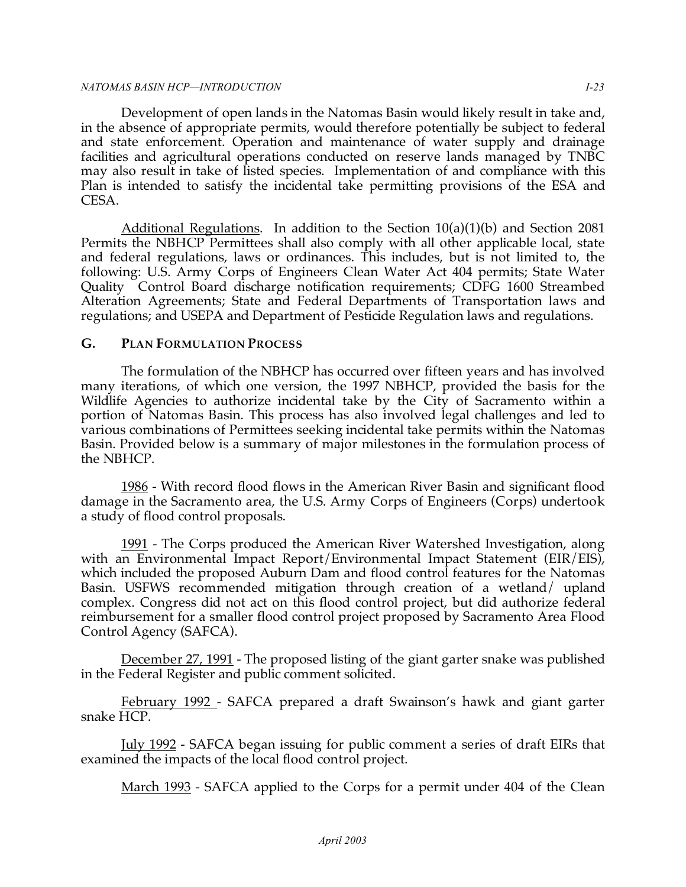#### *NATOMAS BASIN HCP—INTRODUCTION I-23*

 Development of open lands in the Natomas Basin would likely result in take and, in the absence of appropriate permits, would therefore potentially be subject to federal and state enforcement. Operation and maintenance of water supply and drainage facilities and agricultural operations conducted on reserve lands managed by TNBC may also result in take of listed species. Implementation of and compliance with this Plan is intended to satisfy the incidental take permitting provisions of the ESA and CESA.

 Additional Regulations. In addition to the Section 10(a)(1)(b) and Section 2081 Permits the NBHCP Permittees shall also comply with all other applicable local, state and federal regulations, laws or ordinances. This includes, but is not limited to, the following: U.S. Army Corps of Engineers Clean Water Act 404 permits; State Water Quality Control Board discharge notification requirements; CDFG 1600 Streambed Alteration Agreements; State and Federal Departments of Transportation laws and regulations; and USEPA and Department of Pesticide Regulation laws and regulations.

# **G. PLAN FORMULATION PROCESS**

 The formulation of the NBHCP has occurred over fifteen years and has involved many iterations, of which one version, the 1997 NBHCP, provided the basis for the Wildlife Agencies to authorize incidental take by the City of Sacramento within a portion of Natomas Basin. This process has also involved legal challenges and led to various combinations of Permittees seeking incidental take permits within the Natomas Basin. Provided below is a summary of major milestones in the formulation process of the NBHCP.

<u>1986</u> - With record flood flows in the American River Basin and significant flood damage in the Sacramento area, the U.S. Army Corps of Engineers (Corps) undertook a study of flood control proposals.

<u>1991</u> - The Corps produced the American River Watershed Investigation, along with an Environmental Impact Report/Environmental Impact Statement (EIR/EIS), which included the proposed Auburn Dam and flood control features for the Natomas Basin. USFWS recommended mitigation through creation of a wetland/ upland complex. Congress did not act on this flood control project, but did authorize federal reimbursement for a smaller flood control project proposed by Sacramento Area Flood Control Agency (SAFCA).

<u>December 27, 1991</u> - The proposed listing of the giant garter snake was published in the Federal Register and public comment solicited.

 February 1992 - SAFCA prepared a draft Swainson's hawk and giant garter snake HCP.

 July 1992 - SAFCA began issuing for public comment a series of draft EIRs that examined the impacts of the local flood control project.

<u>March 1993</u> - SAFCA applied to the Corps for a permit under 404 of the Clean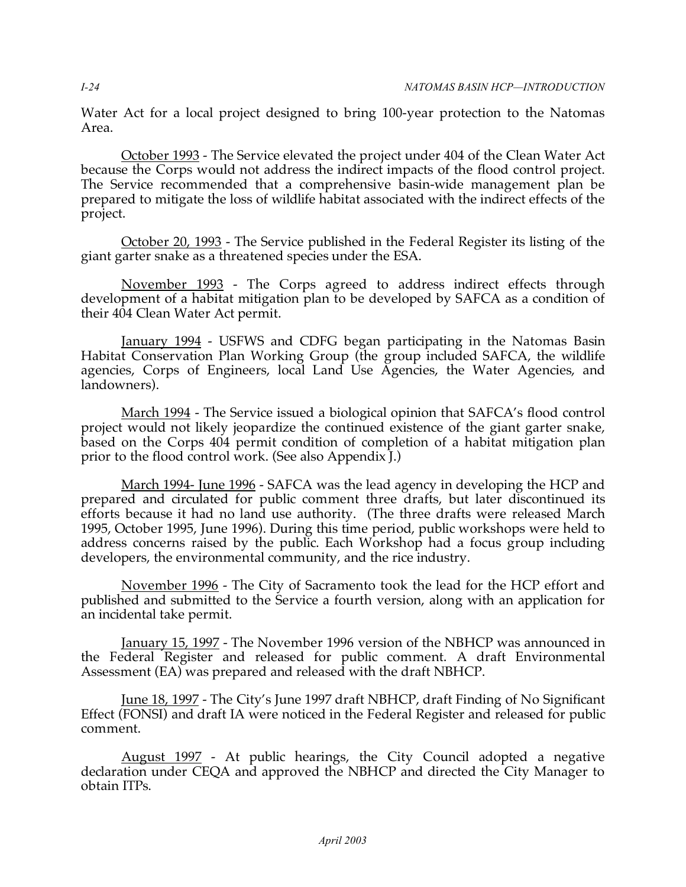Water Act for a local project designed to bring 100-year protection to the Natomas Area.

<u>October 1993</u> - The Service elevated the project under 404 of the Clean Water Act because the Corps would not address the indirect impacts of the flood control project. The Service recommended that a comprehensive basin-wide management plan be prepared to mitigate the loss of wildlife habitat associated with the indirect effects of the project.

<u>October 20, 1993</u> - The Service published in the Federal Register its listing of the giant garter snake as a threatened species under the ESA.

<u>November 1993</u> - The Corps agreed to address indirect effects through development of a habitat mitigation plan to be developed by SAFCA as a condition of their 404 Clean Water Act permit.

<u>January 1994</u> - USFWS and CDFG began participating in the Natomas Basin Habitat Conservation Plan Working Group (the group included SAFCA, the wildlife agencies, Corps of Engineers, local Land Use Agencies, the Water Agencies, and landowners).

 March 1994 - The Service issued a biological opinion that SAFCA's flood control project would not likely jeopardize the continued existence of the giant garter snake, based on the Corps 404 permit condition of completion of a habitat mitigation plan prior to the flood control work. (See also Appendix J.)

<u>March 1994- June 1996</u> - SAFCA was the lead agency in developing the HCP and prepared and circulated for public comment three drafts, but later discontinued its efforts because it had no land use authority. (The three drafts were released March 1995, October 1995, June 1996). During this time period, public workshops were held to address concerns raised by the public. Each Workshop had a focus group including developers, the environmental community, and the rice industry.

<u>November 1996</u> - The City of Sacramento took the lead for the HCP effort and published and submitted to the Service a fourth version, along with an application for an incidental take permit.

<u>January 15, 1997</u> - The November 1996 version of the NBHCP was announced in the Federal Register and released for public comment. A draft Environmental Assessment (EA) was prepared and released with the draft NBHCP.

<u>June 18, 1997</u> - The City's June 1997 draft NBHCP, draft Finding of No Significant Effect (FONSI) and draft IA were noticed in the Federal Register and released for public comment.

 August 1997 - At public hearings, the City Council adopted a negative declaration under CEQA and approved the NBHCP and directed the City Manager to obtain ITPs.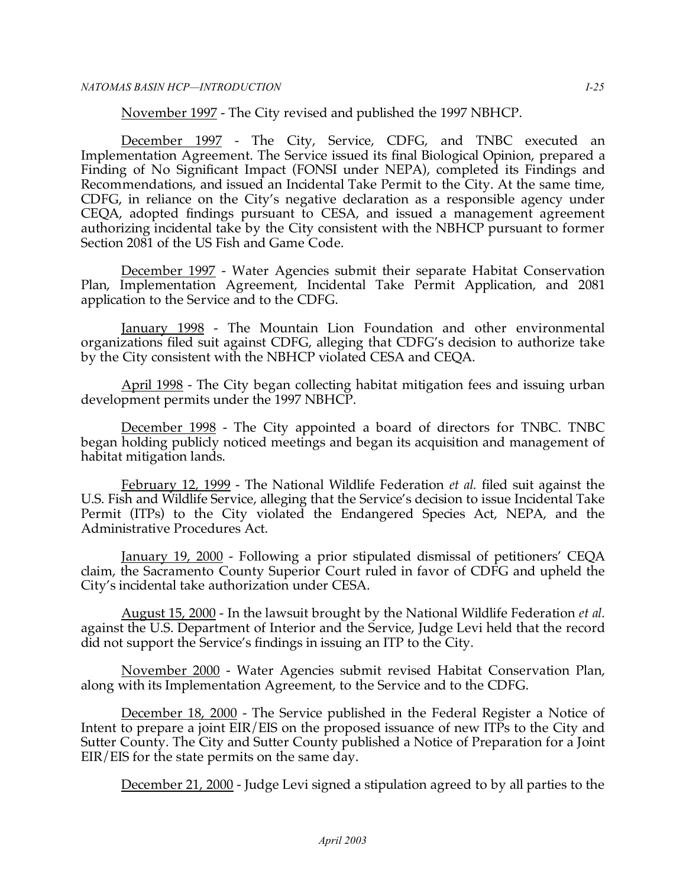November 1997 - The City revised and published the 1997 NBHCP.

 December 1997 - The City, Service, CDFG, and TNBC executed an Implementation Agreement. The Service issued its final Biological Opinion, prepared a Finding of No Significant Impact (FONSI under NEPA), completed its Findings and Recommendations, and issued an Incidental Take Permit to the City. At the same time, CDFG, in reliance on the City's negative declaration as a responsible agency under CEQA, adopted findings pursuant to CESA, and issued a management agreement authorizing incidental take by the City consistent with the NBHCP pursuant to former Section 2081 of the US Fish and Game Code.

 December 1997 - Water Agencies submit their separate Habitat Conservation Plan, Implementation Agreement, Incidental Take Permit Application, and 2081 application to the Service and to the CDFG.

<u>January 1998</u> - The Mountain Lion Foundation and other environmental organizations filed suit against CDFG, alleging that CDFG's decision to authorize take by the City consistent with the NBHCP violated CESA and CEQA.

<u>April 1998</u> - The City began collecting habitat mitigation fees and issuing urban development permits under the 1997 NBHCP.

 December 1998 - The City appointed a board of directors for TNBC. TNBC began holding publicly noticed meetings and began its acquisition and management of habitat mitigation lands.

 February 12, 1999 - The National Wildlife Federation *et al.* filed suit against the U.S. Fish and Wildlife Service, alleging that the Service's decision to issue Incidental Take Permit (ITPs) to the City violated the Endangered Species Act, NEPA, and the Administrative Procedures Act.

 January 19, 2000 - Following a prior stipulated dismissal of petitioners' CEQA claim, the Sacramento County Superior Court ruled in favor of CDFG and upheld the City's incidental take authorization under CESA.

 August 15, 2000 - In the lawsuit brought by the National Wildlife Federation *et al.*  against the U.S. Department of Interior and the Service, Judge Levi held that the record did not support the Service's findings in issuing an ITP to the City.

 November 2000 - Water Agencies submit revised Habitat Conservation Plan, along with its Implementation Agreement, to the Service and to the CDFG.

 December 18, 2000 - The Service published in the Federal Register a Notice of Intent to prepare a joint EIR/EIS on the proposed issuance of new ITPs to the City and Sutter County. The City and Sutter County published a Notice of Preparation for a Joint EIR/EIS for the state permits on the same day.

December 21, 2000 - Judge Levi signed a stipulation agreed to by all parties to the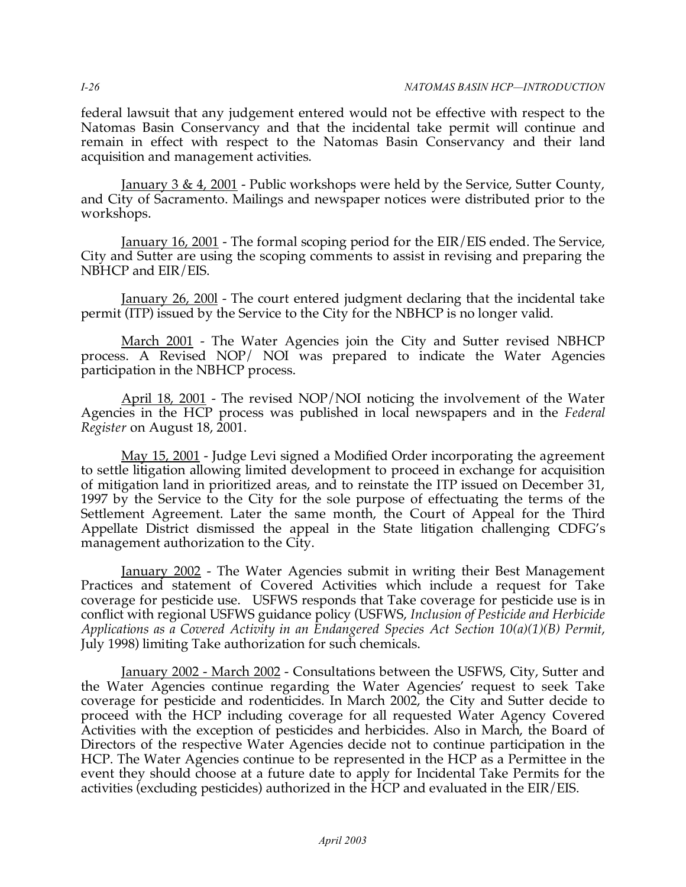federal lawsuit that any judgement entered would not be effective with respect to the Natomas Basin Conservancy and that the incidental take permit will continue and remain in effect with respect to the Natomas Basin Conservancy and their land acquisition and management activities.

<u>January 3 & 4, 2001</u> - Public workshops were held by the Service, Sutter County, and City of Sacramento. Mailings and newspaper notices were distributed prior to the workshops.

<u>January 16, 2001</u> - The formal scoping period for the EIR/EIS ended. The Service, City and Sutter are using the scoping comments to assist in revising and preparing the NBHCP and EIR/EIS.

<u>January 26, 200l</u> - The court entered judgment declaring that the incidental take permit (ITP) issued by the Service to the City for the NBHCP is no longer valid.

<u>March 2001</u> - The Water Agencies join the City and Sutter revised NBHCP process. A Revised NOP/ NOI was prepared to indicate the Water Agencies participation in the NBHCP process.

<u>April 18, 2001</u> - The revised NOP/NOI noticing the involvement of the Water Agencies in the HCP process was published in local newspapers and in the *Federal Register* on August 18, 2001.

 May 15, 2001 - Judge Levi signed a Modified Order incorporating the agreement to settle litigation allowing limited development to proceed in exchange for acquisition of mitigation land in prioritized areas, and to reinstate the ITP issued on December 31, 1997 by the Service to the City for the sole purpose of effectuating the terms of the Settlement Agreement. Later the same month, the Court of Appeal for the Third Appellate District dismissed the appeal in the State litigation challenging CDFG's management authorization to the City.

 January 2002 - The Water Agencies submit in writing their Best Management Practices and statement of Covered Activities which include a request for Take coverage for pesticide use. USFWS responds that Take coverage for pesticide use is in conflict with regional USFWS guidance policy (USFWS, *Inclusion of Pesticide and Herbicide Applications as a Covered Activity in an Endangered Species Act Section 10(a)(1)(B) Permit*, July 1998) limiting Take authorization for such chemicals.

<u>January 2002 - March 2002</u> - Consultations between the USFWS, City, Sutter and the Water Agencies continue regarding the Water Agencies' request to seek Take coverage for pesticide and rodenticides. In March 2002, the City and Sutter decide to proceed with the HCP including coverage for all requested Water Agency Covered Activities with the exception of pesticides and herbicides. Also in March, the Board of Directors of the respective Water Agencies decide not to continue participation in the HCP. The Water Agencies continue to be represented in the HCP as a Permittee in the event they should choose at a future date to apply for Incidental Take Permits for the activities (excluding pesticides) authorized in the HCP and evaluated in the EIR/EIS.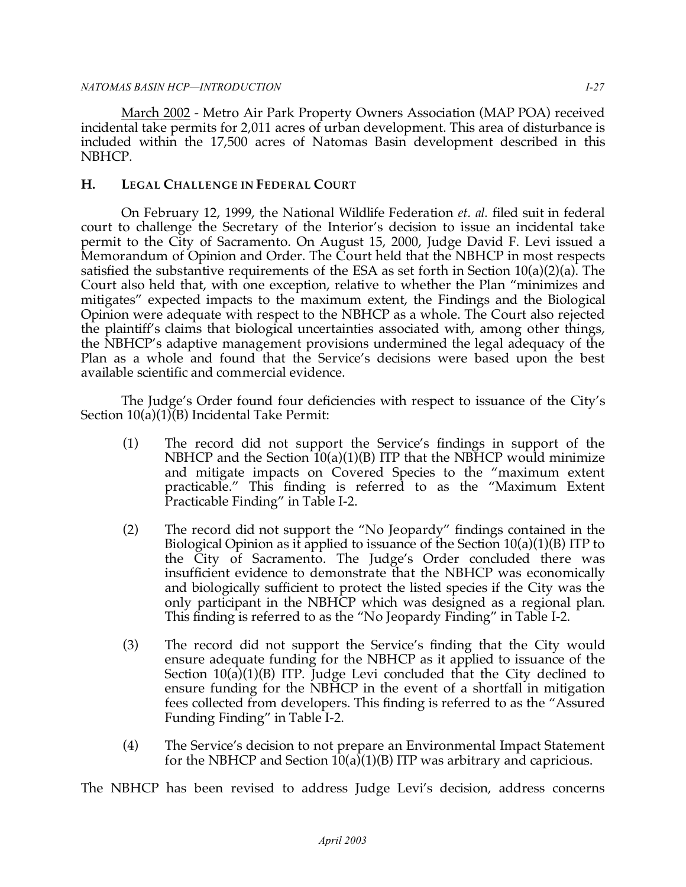#### *NATOMAS BASIN HCP—INTRODUCTION I-27*

 March 2002 - Metro Air Park Property Owners Association (MAP POA) received incidental take permits for 2,011 acres of urban development. This area of disturbance is included within the 17,500 acres of Natomas Basin development described in this NBHCP.

## **H. LEGAL CHALLENGE IN FEDERAL COURT**

 On February 12, 1999, the National Wildlife Federation *et. al.* filed suit in federal court to challenge the Secretary of the Interior's decision to issue an incidental take permit to the City of Sacramento. On August 15, 2000, Judge David F. Levi issued a Memorandum of Opinion and Order. The Court held that the NBHCP in most respects satisfied the substantive requirements of the ESA as set forth in Section 10(a)(2)(a). The Court also held that, with one exception, relative to whether the Plan "minimizes and mitigates" expected impacts to the maximum extent, the Findings and the Biological Opinion were adequate with respect to the NBHCP as a whole. The Court also rejected the plaintiff's claims that biological uncertainties associated with, among other things, the NBHCP's adaptive management provisions undermined the legal adequacy of the Plan as a whole and found that the Service's decisions were based upon the best available scientific and commercial evidence.

 The Judge's Order found four deficiencies with respect to issuance of the City's Section 10(a)(1)(B) Incidental Take Permit:

- (1) The record did not support the Service's findings in support of the NBHCP and the Section 10(a)(1)(B) ITP that the NBHCP would minimize and mitigate impacts on Covered Species to the "maximum extent practicable." This finding is referred to as the "Maximum Extent Practicable Finding" in Table I-2.
- (2) The record did not support the "No Jeopardy" findings contained in the Biological Opinion as it applied to issuance of the Section 10(a)(1)(B) ITP to the City of Sacramento. The Judge's Order concluded there was insufficient evidence to demonstrate that the NBHCP was economically and biologically sufficient to protect the listed species if the City was the only participant in the NBHCP which was designed as a regional plan. This finding is referred to as the "No Jeopardy Finding" in Table I-2.
- (3) The record did not support the Service's finding that the City would ensure adequate funding for the NBHCP as it applied to issuance of the Section 10(a)(1)(B) ITP. Judge Levi concluded that the City declined to ensure funding for the NBHCP in the event of a shortfall in mitigation fees collected from developers. This finding is referred to as the "Assured Funding Finding" in Table I-2.
- (4) The Service's decision to not prepare an Environmental Impact Statement for the NBHCP and Section 10(a)(1)(B) ITP was arbitrary and capricious.

The NBHCP has been revised to address Judge Levi's decision, address concerns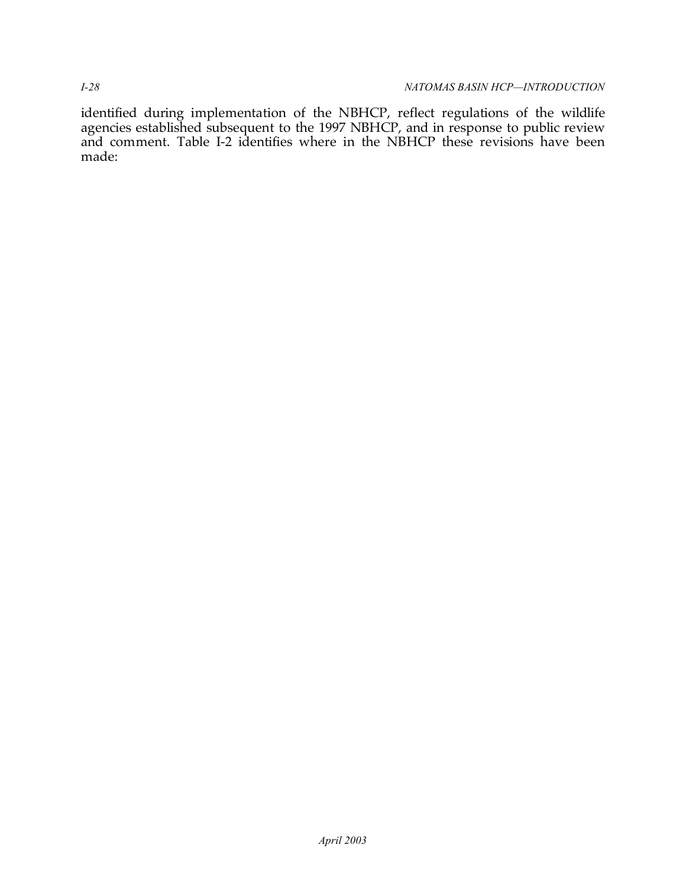identified during implementation of the NBHCP, reflect regulations of the wildlife agencies established subsequent to the 1997 NBHCP, and in response to public review and comment. Table I-2 identifies where in the NBHCP these revisions have been made: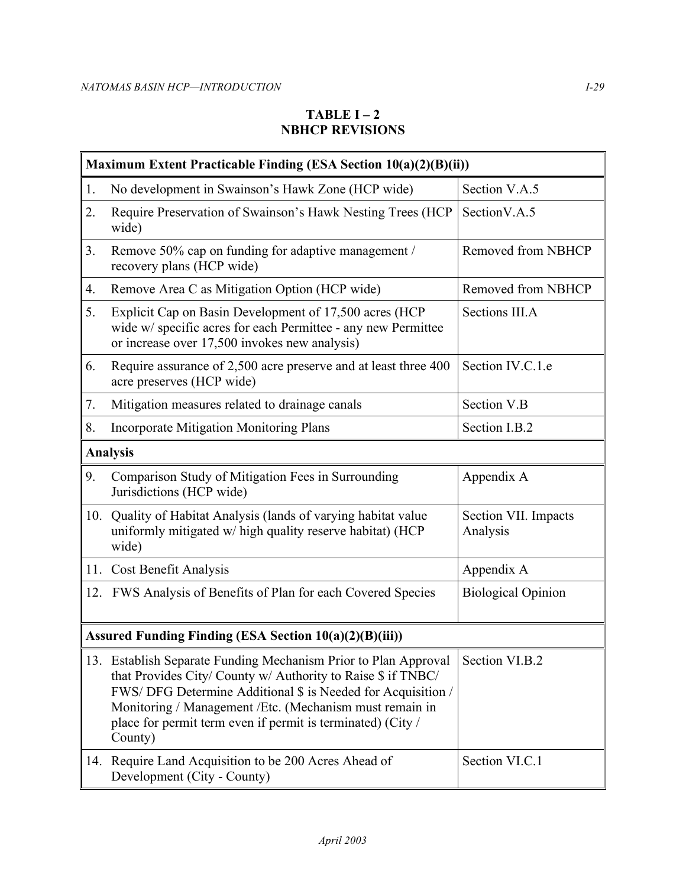# **TABLE I – 2 NBHCP REVISIONS**

| Maximum Extent Practicable Finding (ESA Section 10(a)(2)(B)(ii)) |                                                                                                                                                                                                                                                                                                                                      |                                  |  |  |  |  |
|------------------------------------------------------------------|--------------------------------------------------------------------------------------------------------------------------------------------------------------------------------------------------------------------------------------------------------------------------------------------------------------------------------------|----------------------------------|--|--|--|--|
| 1.                                                               | No development in Swainson's Hawk Zone (HCP wide)                                                                                                                                                                                                                                                                                    | Section V.A.5                    |  |  |  |  |
| 2.                                                               | Require Preservation of Swainson's Hawk Nesting Trees (HCP)<br>wide)                                                                                                                                                                                                                                                                 | SectionV.A.5                     |  |  |  |  |
| 3.                                                               | Remove 50% cap on funding for adaptive management /<br>recovery plans (HCP wide)                                                                                                                                                                                                                                                     | Removed from NBHCP               |  |  |  |  |
| 4.                                                               | Remove Area C as Mitigation Option (HCP wide)                                                                                                                                                                                                                                                                                        | Removed from NBHCP               |  |  |  |  |
| 5.                                                               | Explicit Cap on Basin Development of 17,500 acres (HCP<br>wide w/ specific acres for each Permittee - any new Permittee<br>or increase over 17,500 invokes new analysis)                                                                                                                                                             | Sections III.A                   |  |  |  |  |
| 6.                                                               | Require assurance of 2,500 acre preserve and at least three 400<br>acre preserves (HCP wide)                                                                                                                                                                                                                                         | Section IV.C.1.e                 |  |  |  |  |
| 7.                                                               | Mitigation measures related to drainage canals                                                                                                                                                                                                                                                                                       | Section V.B                      |  |  |  |  |
| 8.                                                               | <b>Incorporate Mitigation Monitoring Plans</b>                                                                                                                                                                                                                                                                                       | Section I.B.2                    |  |  |  |  |
| <b>Analysis</b>                                                  |                                                                                                                                                                                                                                                                                                                                      |                                  |  |  |  |  |
| 9.                                                               | Comparison Study of Mitigation Fees in Surrounding<br>Jurisdictions (HCP wide)                                                                                                                                                                                                                                                       | Appendix A                       |  |  |  |  |
| 10.                                                              | Quality of Habitat Analysis (lands of varying habitat value<br>uniformly mitigated w/ high quality reserve habitat) (HCP<br>wide)                                                                                                                                                                                                    | Section VII. Impacts<br>Analysis |  |  |  |  |
| 11.                                                              | Cost Benefit Analysis                                                                                                                                                                                                                                                                                                                | Appendix A                       |  |  |  |  |
|                                                                  | 12. FWS Analysis of Benefits of Plan for each Covered Species                                                                                                                                                                                                                                                                        | <b>Biological Opinion</b>        |  |  |  |  |
| Assured Funding Finding (ESA Section 10(a)(2)(B)(iii))           |                                                                                                                                                                                                                                                                                                                                      |                                  |  |  |  |  |
|                                                                  | 13. Establish Separate Funding Mechanism Prior to Plan Approval<br>that Provides City/ County w/ Authority to Raise \$ if TNBC/<br>FWS/DFG Determine Additional \$ is Needed for Acquisition /<br>Monitoring / Management / Etc. (Mechanism must remain in<br>place for permit term even if permit is terminated) (City /<br>County) | Section VI.B.2                   |  |  |  |  |
|                                                                  | 14. Require Land Acquisition to be 200 Acres Ahead of<br>Development (City - County)                                                                                                                                                                                                                                                 | Section VI.C.1                   |  |  |  |  |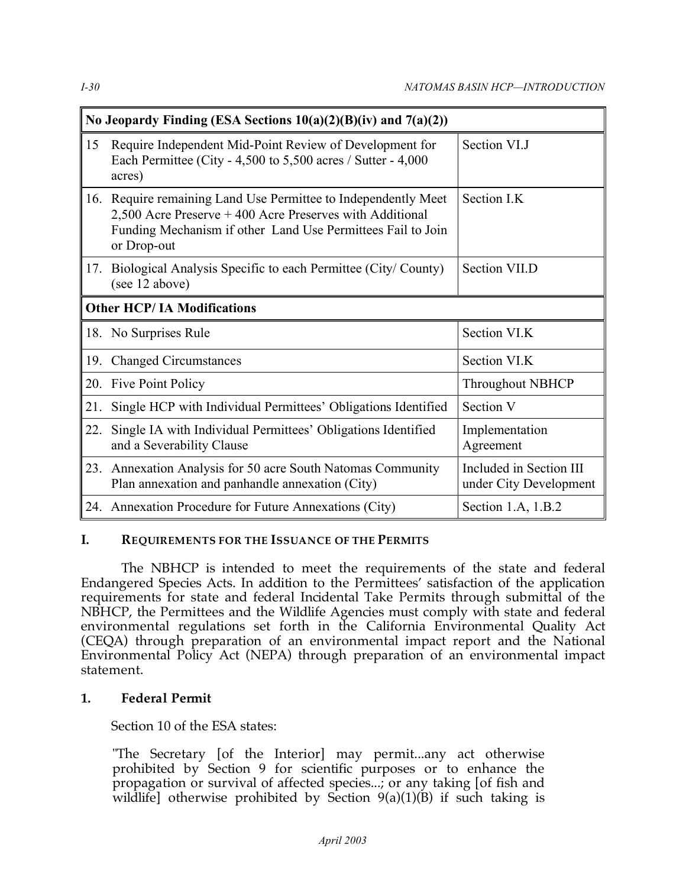| No Jeopardy Finding (ESA Sections $10(a)(2)(B)(iv)$ and $7(a)(2))$ |                                                                                                                                                                                                      |                                                   |  |  |
|--------------------------------------------------------------------|------------------------------------------------------------------------------------------------------------------------------------------------------------------------------------------------------|---------------------------------------------------|--|--|
| 15                                                                 | Require Independent Mid-Point Review of Development for<br>Each Permittee (City - 4,500 to 5,500 acres / Sutter - 4,000<br>acres)                                                                    | Section VI.J                                      |  |  |
| 16.                                                                | Require remaining Land Use Permittee to Independently Meet<br>2,500 Acre Preserve + 400 Acre Preserves with Additional<br>Funding Mechanism if other Land Use Permittees Fail to Join<br>or Drop-out | Section I.K                                       |  |  |
|                                                                    | 17. Biological Analysis Specific to each Permittee (City/County)<br>(see 12 above)                                                                                                                   | Section VII.D                                     |  |  |
| <b>Other HCP/IA Modifications</b>                                  |                                                                                                                                                                                                      |                                                   |  |  |
|                                                                    | 18. No Surprises Rule                                                                                                                                                                                | Section VI.K                                      |  |  |
| 19.                                                                | <b>Changed Circumstances</b>                                                                                                                                                                         | Section VI.K                                      |  |  |
| 20.                                                                | Five Point Policy                                                                                                                                                                                    | <b>Throughout NBHCP</b>                           |  |  |
| 21.                                                                | Single HCP with Individual Permittees' Obligations Identified                                                                                                                                        | Section V                                         |  |  |
| 22.                                                                | Single IA with Individual Permittees' Obligations Identified<br>and a Severability Clause                                                                                                            | Implementation<br>Agreement                       |  |  |
|                                                                    | 23. Annexation Analysis for 50 acre South Natomas Community<br>Plan annexation and panhandle annexation (City)                                                                                       | Included in Section III<br>under City Development |  |  |
|                                                                    | 24. Annexation Procedure for Future Annexations (City)                                                                                                                                               | Section 1.A, 1.B.2                                |  |  |

## **I. REQUIREMENTS FOR THE ISSUANCE OF THE PERMITS**

 The NBHCP is intended to meet the requirements of the state and federal Endangered Species Acts. In addition to the Permittees' satisfaction of the application requirements for state and federal Incidental Take Permits through submittal of the NBHCP, the Permittees and the Wildlife Agencies must comply with state and federal environmental regulations set forth in the California Environmental Quality Act (CEQA) through preparation of an environmental impact report and the National Environmental Policy Act (NEPA) through preparation of an environmental impact statement.

## **1. Federal Permit**

Section 10 of the ESA states:

 "The Secretary [of the Interior] may permit...any act otherwise prohibited by Section 9 for scientific purposes or to enhance the propagation or survival of affected species...; or any taking [of fish and wildlife] otherwise prohibited by Section 9(a)(1)(B) if such taking is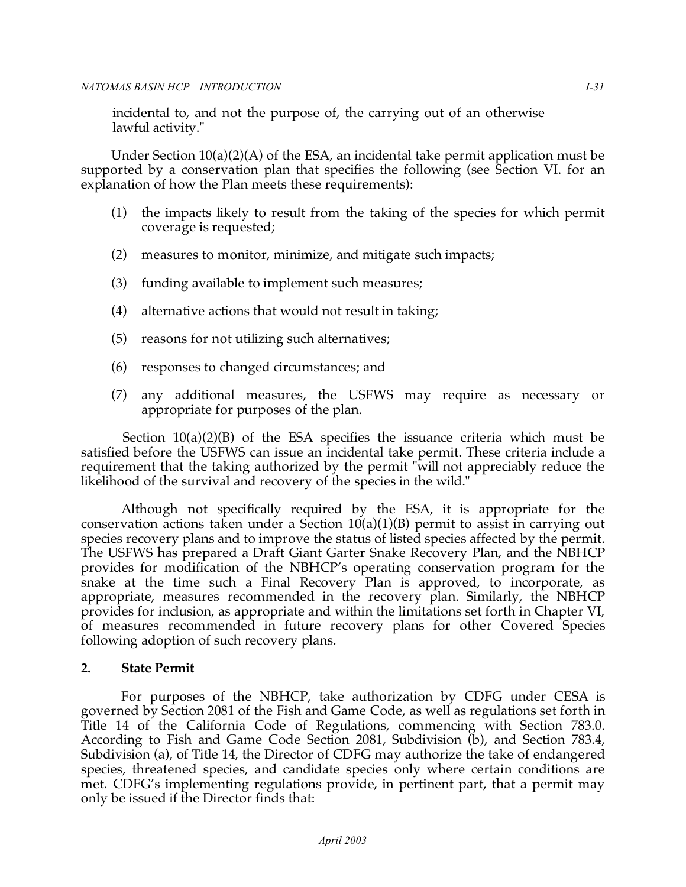incidental to, and not the purpose of, the carrying out of an otherwise lawful activity."

 Under Section 10(a)(2)(A) of the ESA, an incidental take permit application must be supported by a conservation plan that specifies the following (see Section VI. for an explanation of how the Plan meets these requirements):

- (1) the impacts likely to result from the taking of the species for which permit coverage is requested;
- (2) measures to monitor, minimize, and mitigate such impacts;
- (3) funding available to implement such measures;
- (4) alternative actions that would not result in taking;
- (5) reasons for not utilizing such alternatives;
- (6) responses to changed circumstances; and
- (7) any additional measures, the USFWS may require as necessary or appropriate for purposes of the plan.

 Section 10(a)(2)(B) of the ESA specifies the issuance criteria which must be satisfied before the USFWS can issue an incidental take permit. These criteria include a requirement that the taking authorized by the permit "will not appreciably reduce the likelihood of the survival and recovery of the species in the wild."

 Although not specifically required by the ESA, it is appropriate for the conservation actions taken under a Section 10(a)(1)(B) permit to assist in carrying out species recovery plans and to improve the status of listed species affected by the permit. The USFWS has prepared a Draft Giant Garter Snake Recovery Plan, and the NBHCP provides for modification of the NBHCP's operating conservation program for the snake at the time such a Final Recovery Plan is approved, to incorporate, as appropriate, measures recommended in the recovery plan. Similarly, the NBHCP provides for inclusion, as appropriate and within the limitations set forth in Chapter VI, of measures recommended in future recovery plans for other Covered Species following adoption of such recovery plans.

# **2. State Permit**

 For purposes of the NBHCP, take authorization by CDFG under CESA is governed by Section 2081 of the Fish and Game Code, as well as regulations set forth in Title 14 of the California Code of Regulations, commencing with Section 783.0. According to Fish and Game Code Section 2081, Subdivision (b), and Section 783.4, Subdivision (a), of Title 14, the Director of CDFG may authorize the take of endangered species, threatened species, and candidate species only where certain conditions are met. CDFG's implementing regulations provide, in pertinent part, that a permit may only be issued if the Director finds that: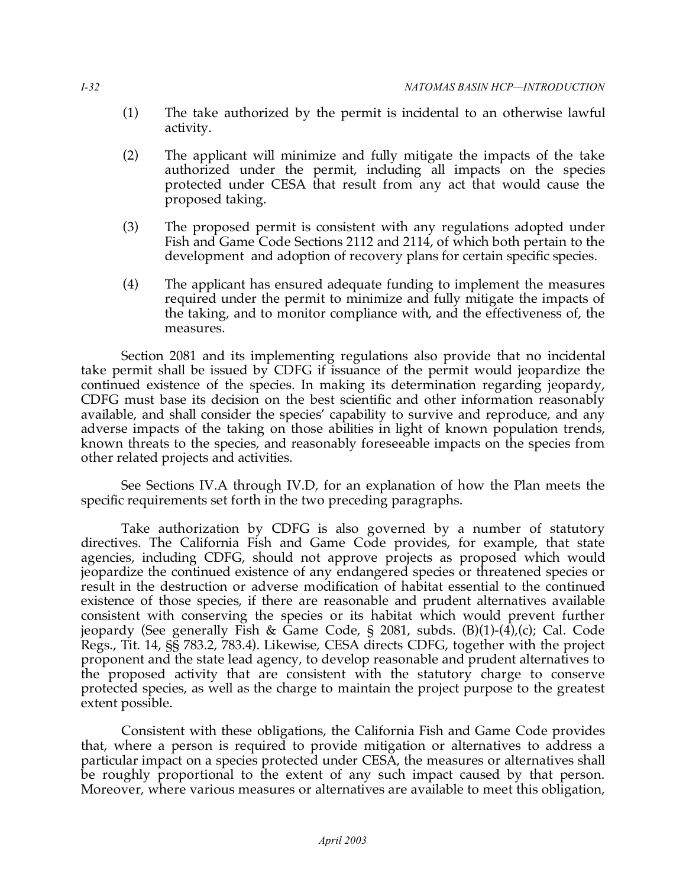- (1) The take authorized by the permit is incidental to an otherwise lawful activity.
- (2) The applicant will minimize and fully mitigate the impacts of the take authorized under the permit, including all impacts on the species protected under CESA that result from any act that would cause the proposed taking.
- (3) The proposed permit is consistent with any regulations adopted under Fish and Game Code Sections 2112 and 2114, of which both pertain to the development and adoption of recovery plans for certain specific species.
- (4) The applicant has ensured adequate funding to implement the measures required under the permit to minimize and fully mitigate the impacts of the taking, and to monitor compliance with, and the effectiveness of, the measures.

 Section 2081 and its implementing regulations also provide that no incidental take permit shall be issued by CDFG if issuance of the permit would jeopardize the continued existence of the species. In making its determination regarding jeopardy, CDFG must base its decision on the best scientific and other information reasonably available, and shall consider the species' capability to survive and reproduce, and any adverse impacts of the taking on those abilities in light of known population trends, known threats to the species, and reasonably foreseeable impacts on the species from other related projects and activities.

 See Sections IV.A through IV.D, for an explanation of how the Plan meets the specific requirements set forth in the two preceding paragraphs.

 Take authorization by CDFG is also governed by a number of statutory directives. The California Fish and Game Code provides, for example, that state agencies, including CDFG, should not approve projects as proposed which would jeopardize the continued existence of any endangered species or threatened species or result in the destruction or adverse modification of habitat essential to the continued existence of those species, if there are reasonable and prudent alternatives available consistent with conserving the species or its habitat which would prevent further jeopardy (See generally Fish & Game Code, § 2081, subds. (B)(1)-(4),(c); Cal. Code Regs., Tit. 14, §§ 783.2, 783.4). Likewise, CESA directs CDFG, together with the project proponent and the state lead agency, to develop reasonable and prudent alternatives to the proposed activity that are consistent with the statutory charge to conserve protected species, as well as the charge to maintain the project purpose to the greatest extent possible.

 Consistent with these obligations, the California Fish and Game Code provides that, where a person is required to provide mitigation or alternatives to address a particular impact on a species protected under CESA, the measures or alternatives shall be roughly proportional to the extent of any such impact caused by that person. Moreover, where various measures or alternatives are available to meet this obligation,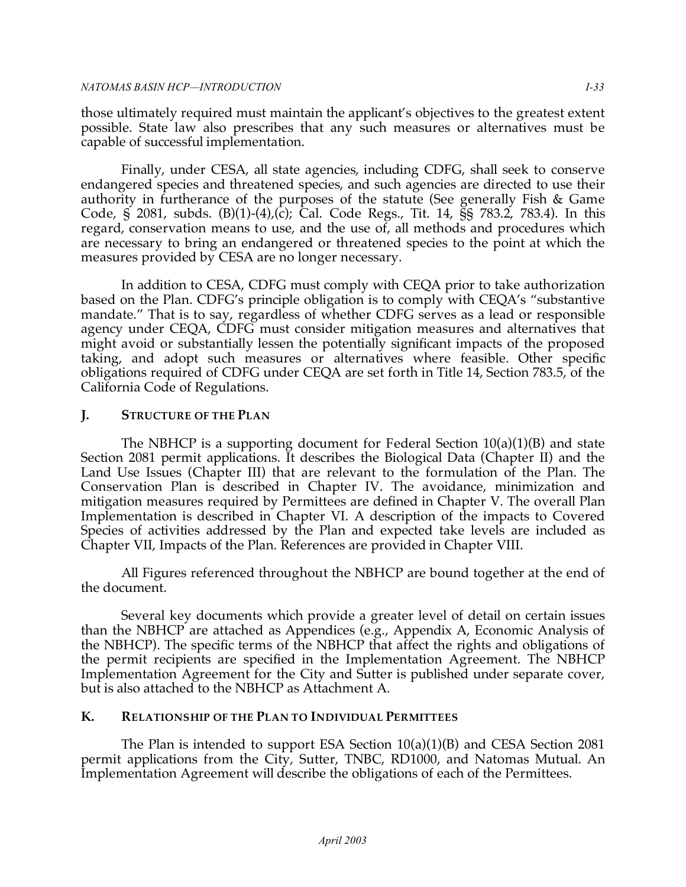those ultimately required must maintain the applicant's objectives to the greatest extent possible. State law also prescribes that any such measures or alternatives must be capable of successful implementation.

 Finally, under CESA, all state agencies, including CDFG, shall seek to conserve endangered species and threatened species, and such agencies are directed to use their authority in furtherance of the purposes of the statute (See generally Fish & Game Code, § 2081, subds. (B)(1)-(4),(c); Cal. Code Regs., Tit. 14, §§ 783.2, 783.4). In this regard, conservation means to use, and the use of, all methods and procedures which are necessary to bring an endangered or threatened species to the point at which the measures provided by CESA are no longer necessary.

 In addition to CESA, CDFG must comply with CEQA prior to take authorization based on the Plan. CDFG's principle obligation is to comply with CEQA's "substantive mandate." That is to say, regardless of whether CDFG serves as a lead or responsible agency under CEQA, CDFG must consider mitigation measures and alternatives that might avoid or substantially lessen the potentially significant impacts of the proposed taking, and adopt such measures or alternatives where feasible. Other specific obligations required of CDFG under CEQA are set forth in Title 14, Section 783.5, of the California Code of Regulations.

# **J. STRUCTURE OF THE PLAN**

 The NBHCP is a supporting document for Federal Section 10(a)(1)(B) and state Section 2081 permit applications. It describes the Biological Data (Chapter II) and the Land Use Issues (Chapter III) that are relevant to the formulation of the Plan. The Conservation Plan is described in Chapter IV. The avoidance, minimization and mitigation measures required by Permittees are defined in Chapter V. The overall Plan Implementation is described in Chapter VI. A description of the impacts to Covered Species of activities addressed by the Plan and expected take levels are included as Chapter VII, Impacts of the Plan. References are provided in Chapter VIII.

 All Figures referenced throughout the NBHCP are bound together at the end of the document.

 Several key documents which provide a greater level of detail on certain issues than the NBHCP are attached as Appendices (e.g., Appendix A, Economic Analysis of the NBHCP). The specific terms of the NBHCP that affect the rights and obligations of the permit recipients are specified in the Implementation Agreement. The NBHCP Implementation Agreement for the City and Sutter is published under separate cover, but is also attached to the NBHCP as Attachment A.

# **K. RELATIONSHIP OF THE PLAN TO INDIVIDUAL PERMITTEES**

 The Plan is intended to support ESA Section 10(a)(1)(B) and CESA Section 2081 permit applications from the City, Sutter, TNBC, RD1000, and Natomas Mutual. An Implementation Agreement will describe the obligations of each of the Permittees.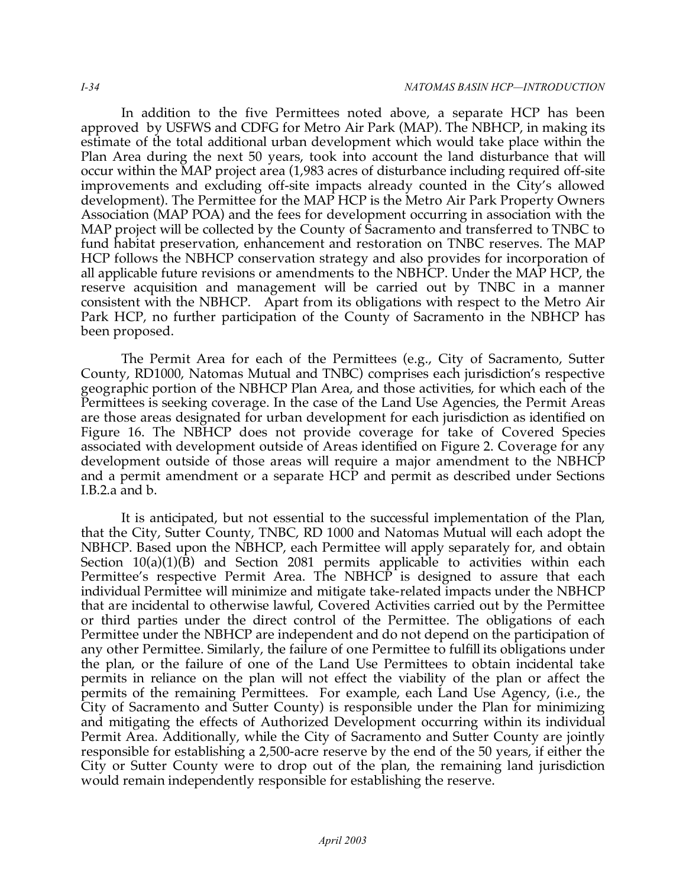In addition to the five Permittees noted above, a separate HCP has been approved by USFWS and CDFG for Metro Air Park (MAP). The NBHCP, in making its estimate of the total additional urban development which would take place within the Plan Area during the next 50 years, took into account the land disturbance that will occur within the MAP project area (1,983 acres of disturbance including required off-site improvements and excluding off-site impacts already counted in the City's allowed development). The Permittee for the MAP HCP is the Metro Air Park Property Owners Association (MAP POA) and the fees for development occurring in association with the MAP project will be collected by the County of Sacramento and transferred to TNBC to fund habitat preservation, enhancement and restoration on TNBC reserves. The MAP HCP follows the NBHCP conservation strategy and also provides for incorporation of all applicable future revisions or amendments to the NBHCP. Under the MAP HCP, the reserve acquisition and management will be carried out by TNBC in a manner consistent with the NBHCP. Apart from its obligations with respect to the Metro Air Park HCP, no further participation of the County of Sacramento in the NBHCP has been proposed.

 The Permit Area for each of the Permittees (e.g., City of Sacramento, Sutter County, RD1000, Natomas Mutual and TNBC) comprises each jurisdiction's respective geographic portion of the NBHCP Plan Area, and those activities, for which each of the Permittees is seeking coverage. In the case of the Land Use Agencies, the Permit Areas are those areas designated for urban development for each jurisdiction as identified on Figure 16. The NBHCP does not provide coverage for take of Covered Species associated with development outside of Areas identified on Figure 2. Coverage for any development outside of those areas will require a major amendment to the NBHCP and a permit amendment or a separate HCP and permit as described under Sections I.B.2.a and b.

 It is anticipated, but not essential to the successful implementation of the Plan, that the City, Sutter County, TNBC, RD 1000 and Natomas Mutual will each adopt the NBHCP. Based upon the NBHCP, each Permittee will apply separately for, and obtain Section 10(a)(1)(B) and Section 2081 permits applicable to activities within each Permittee's respective Permit Area. The NBHCP is designed to assure that each individual Permittee will minimize and mitigate take-related impacts under the NBHCP that are incidental to otherwise lawful, Covered Activities carried out by the Permittee or third parties under the direct control of the Permittee. The obligations of each Permittee under the NBHCP are independent and do not depend on the participation of any other Permittee. Similarly, the failure of one Permittee to fulfill its obligations under the plan, or the failure of one of the Land Use Permittees to obtain incidental take permits in reliance on the plan will not effect the viability of the plan or affect the permits of the remaining Permittees. For example, each Land Use Agency, (i.e., the City of Sacramento and Sutter County) is responsible under the Plan for minimizing and mitigating the effects of Authorized Development occurring within its individual Permit Area. Additionally, while the City of Sacramento and Sutter County are jointly responsible for establishing a 2,500-acre reserve by the end of the 50 years, if either the City or Sutter County were to drop out of the plan, the remaining land jurisdiction would remain independently responsible for establishing the reserve.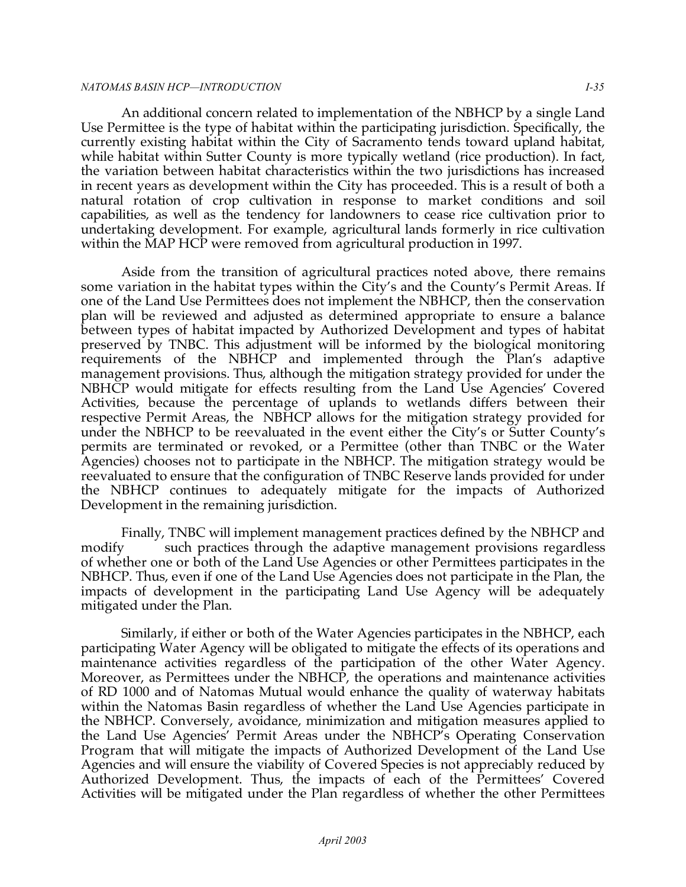#### *NATOMAS BASIN HCP—INTRODUCTION I-35*

 An additional concern related to implementation of the NBHCP by a single Land Use Permittee is the type of habitat within the participating jurisdiction. Specifically, the currently existing habitat within the City of Sacramento tends toward upland habitat, while habitat within Sutter County is more typically wetland (rice production). In fact, the variation between habitat characteristics within the two jurisdictions has increased in recent years as development within the City has proceeded. This is a result of both a natural rotation of crop cultivation in response to market conditions and soil capabilities, as well as the tendency for landowners to cease rice cultivation prior to undertaking development. For example, agricultural lands formerly in rice cultivation within the MAP HCP were removed from agricultural production in 1997.

 Aside from the transition of agricultural practices noted above, there remains some variation in the habitat types within the City's and the County's Permit Areas. If one of the Land Use Permittees does not implement the NBHCP, then the conservation plan will be reviewed and adjusted as determined appropriate to ensure a balance between types of habitat impacted by Authorized Development and types of habitat preserved by TNBC. This adjustment will be informed by the biological monitoring requirements of the NBHCP and implemented through the Plan's adaptive management provisions. Thus, although the mitigation strategy provided for under the NBHCP would mitigate for effects resulting from the Land Use Agencies' Covered Activities, because the percentage of uplands to wetlands differs between their respective Permit Areas, the NBHCP allows for the mitigation strategy provided for under the NBHCP to be reevaluated in the event either the City's or Sutter County's permits are terminated or revoked, or a Permittee (other than TNBC or the Water Agencies) chooses not to participate in the NBHCP. The mitigation strategy would be reevaluated to ensure that the configuration of TNBC Reserve lands provided for under the NBHCP continues to adequately mitigate for the impacts of Authorized Development in the remaining jurisdiction.

 Finally, TNBC will implement management practices defined by the NBHCP and modify such practices through the adaptive management provisions regardless of whether one or both of the Land Use Agencies or other Permittees participates in the NBHCP. Thus, even if one of the Land Use Agencies does not participate in the Plan, the impacts of development in the participating Land Use Agency will be adequately mitigated under the Plan.

 Similarly, if either or both of the Water Agencies participates in the NBHCP, each participating Water Agency will be obligated to mitigate the effects of its operations and maintenance activities regardless of the participation of the other Water Agency. Moreover, as Permittees under the NBHCP, the operations and maintenance activities of RD 1000 and of Natomas Mutual would enhance the quality of waterway habitats within the Natomas Basin regardless of whether the Land Use Agencies participate in the NBHCP. Conversely, avoidance, minimization and mitigation measures applied to the Land Use Agencies' Permit Areas under the NBHCP's Operating Conservation Program that will mitigate the impacts of Authorized Development of the Land Use Agencies and will ensure the viability of Covered Species is not appreciably reduced by Authorized Development. Thus, the impacts of each of the Permittees' Covered Activities will be mitigated under the Plan regardless of whether the other Permittees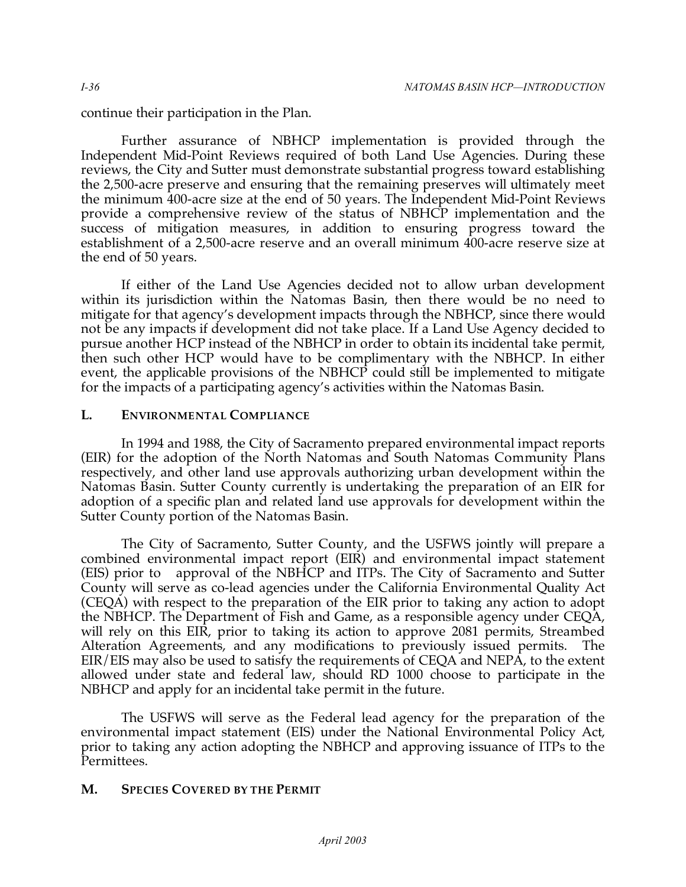continue their participation in the Plan.

 Further assurance of NBHCP implementation is provided through the Independent Mid-Point Reviews required of both Land Use Agencies. During these reviews, the City and Sutter must demonstrate substantial progress toward establishing the 2,500-acre preserve and ensuring that the remaining preserves will ultimately meet the minimum 400-acre size at the end of 50 years. The Independent Mid-Point Reviews provide a comprehensive review of the status of NBHCP implementation and the success of mitigation measures, in addition to ensuring progress toward the establishment of a 2,500-acre reserve and an overall minimum 400-acre reserve size at the end of 50 years.

 If either of the Land Use Agencies decided not to allow urban development within its jurisdiction within the Natomas Basin, then there would be no need to mitigate for that agency's development impacts through the NBHCP, since there would not be any impacts if development did not take place. If a Land Use Agency decided to pursue another HCP instead of the NBHCP in order to obtain its incidental take permit, then such other HCP would have to be complimentary with the NBHCP. In either event, the applicable provisions of the NBHCP could still be implemented to mitigate for the impacts of a participating agency's activities within the Natomas Basin.

## **L. ENVIRONMENTAL COMPLIANCE**

 In 1994 and 1988, the City of Sacramento prepared environmental impact reports (EIR) for the adoption of the North Natomas and South Natomas Community Plans respectively, and other land use approvals authorizing urban development within the Natomas Basin. Sutter County currently is undertaking the preparation of an EIR for adoption of a specific plan and related land use approvals for development within the Sutter County portion of the Natomas Basin.

 The City of Sacramento, Sutter County, and the USFWS jointly will prepare a combined environmental impact report (EIR) and environmental impact statement (EIS) prior to County will serve as co-lead agencies under the California Environmental Quality Act (CEQA) with respect to the preparation of the EIR prior to taking any action to adopt the NBHCP. The Department of Fish and Game, as a responsible agency under CEQA, will rely on this EIR, prior to taking its action to approve 2081 permits, Streambed Alteration Agreements, and any modifications to previously issued permits. The EIR/EIS may also be used to satisfy the requirements of CEQA and NEPA, to the extent allowed under state and federal law, should RD 1000 choose to participate in the NBHCP and apply for an incidental take permit in the future. approval of the NBHCP and ITPs. The City of Sacramento and Sutter

 The USFWS will serve as the Federal lead agency for the preparation of the environmental impact statement (EIS) under the National Environmental Policy Act, prior to taking any action adopting the NBHCP and approving issuance of ITPs to the Permittees.

# **M. SPECIES COVERED BY THE PERMIT**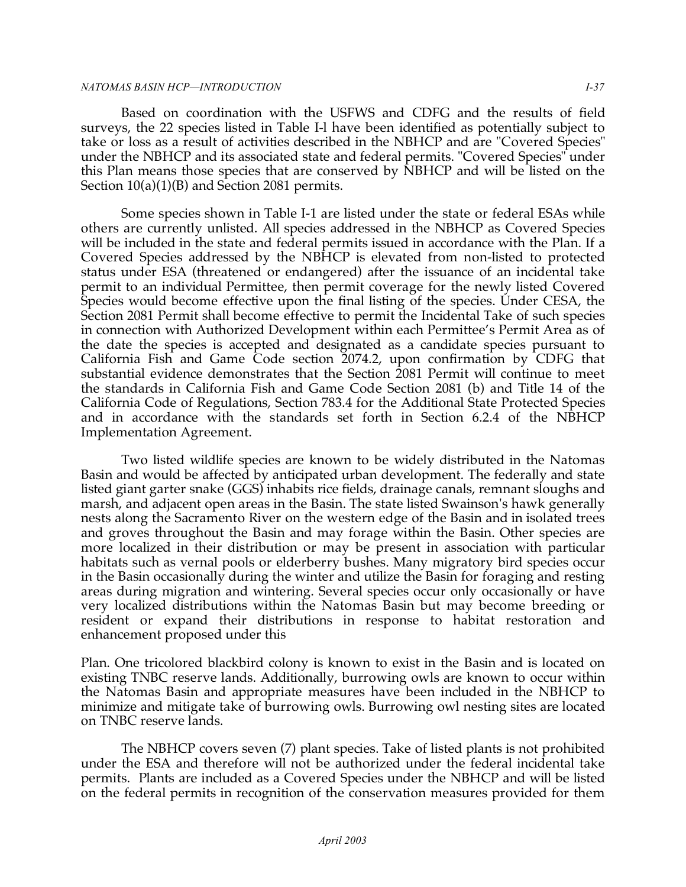#### *NATOMAS BASIN HCP—INTRODUCTION I-37*

 Based on coordination with the USFWS and CDFG and the results of field surveys, the 22 species listed in Table I-l have been identified as potentially subject to take or loss as a result of activities described in the NBHCP and are "Covered Species" under the NBHCP and its associated state and federal permits. "Covered Species" under this Plan means those species that are conserved by NBHCP and will be listed on the Section 10(a)(1)(B) and Section 2081 permits.

 Some species shown in Table I-1 are listed under the state or federal ESAs while others are currently unlisted. All species addressed in the NBHCP as Covered Species will be included in the state and federal permits issued in accordance with the Plan. If a Covered Species addressed by the NBHCP is elevated from non-listed to protected status under ESA (threatened or endangered) after the issuance of an incidental take permit to an individual Permittee, then permit coverage for the newly listed Covered Species would become effective upon the final listing of the species. Under CESA, the Section 2081 Permit shall become effective to permit the Incidental Take of such species in connection with Authorized Development within each Permittee's Permit Area as of the date the species is accepted and designated as a candidate species pursuant to California Fish and Game Code section 2074.2, upon confirmation by CDFG that substantial evidence demonstrates that the Section 2081 Permit will continue to meet the standards in California Fish and Game Code Section 2081 (b) and Title 14 of the California Code of Regulations, Section 783.4 for the Additional State Protected Species and in accordance with the standards set forth in Section 6.2.4 of the NBHCP Implementation Agreement.

 Two listed wildlife species are known to be widely distributed in the Natomas Basin and would be affected by anticipated urban development. The federally and state listed giant garter snake (GGS) inhabits rice fields, drainage canals, remnant sloughs and marsh, and adjacent open areas in the Basin. The state listed Swainson's hawk generally nests along the Sacramento River on the western edge of the Basin and in isolated trees and groves throughout the Basin and may forage within the Basin. Other species are more localized in their distribution or may be present in association with particular habitats such as vernal pools or elderberry bushes. Many migratory bird species occur in the Basin occasionally during the winter and utilize the Basin for foraging and resting areas during migration and wintering. Several species occur only occasionally or have very localized distributions within the Natomas Basin but may become breeding or resident or expand their distributions in response to habitat restoration and enhancement proposed under this

 Plan. One tricolored blackbird colony is known to exist in the Basin and is located on existing TNBC reserve lands. Additionally, burrowing owls are known to occur within the Natomas Basin and appropriate measures have been included in the NBHCP to minimize and mitigate take of burrowing owls. Burrowing owl nesting sites are located on TNBC reserve lands.

 The NBHCP covers seven (7) plant species. Take of listed plants is not prohibited under the ESA and therefore will not be authorized under the federal incidental take permits. Plants are included as a Covered Species under the NBHCP and will be listed on the federal permits in recognition of the conservation measures provided for them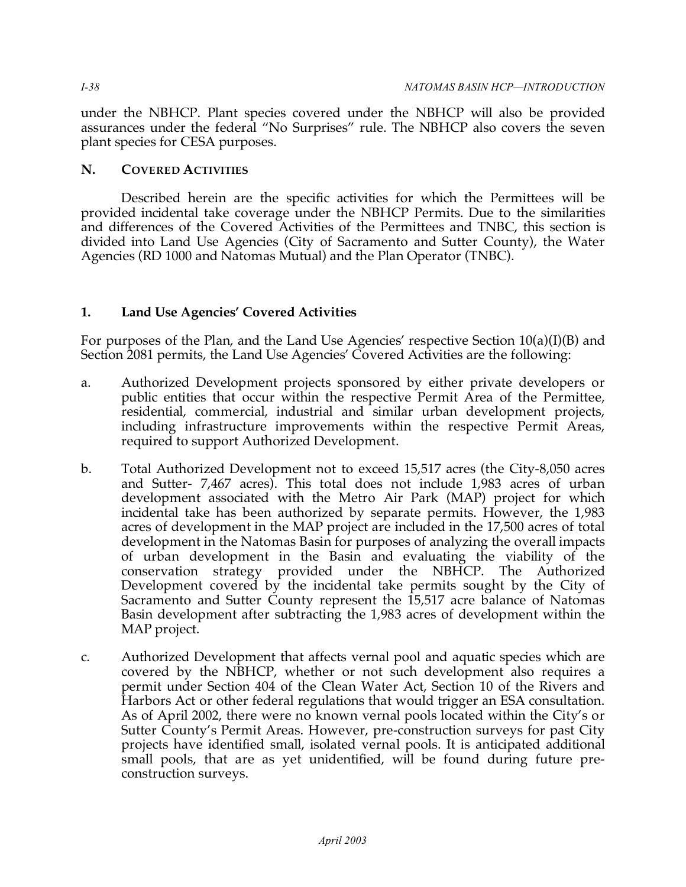under the NBHCP. Plant species covered under the NBHCP will also be provided assurances under the federal "No Surprises" rule. The NBHCP also covers the seven plant species for CESA purposes.

## **N. COVERED ACTIVITIES**

 Described herein are the specific activities for which the Permittees will be provided incidental take coverage under the NBHCP Permits. Due to the similarities and differences of the Covered Activities of the Permittees and TNBC, this section is divided into Land Use Agencies (City of Sacramento and Sutter County), the Water Agencies (RD 1000 and Natomas Mutual) and the Plan Operator (TNBC).

# **1. Land Use Agencies' Covered Activities**

 For purposes of the Plan, and the Land Use Agencies' respective Section 10(a)(I)(B) and Section 2081 permits, the Land Use Agencies' Covered Activities are the following:

- a. Authorized Development projects sponsored by either private developers or public entities that occur within the respective Permit Area of the Permittee, residential, commercial, industrial and similar urban development projects, including infrastructure improvements within the respective Permit Areas, required to support Authorized Development.
- b. Total Authorized Development not to exceed 15,517 acres (the City-8,050 acres and Sutter- 7,467 acres). This total does not include 1,983 acres of urban development associated with the Metro Air Park (MAP) project for which incidental take has been authorized by separate permits. However, the 1,983 acres of development in the MAP project are included in the 17,500 acres of total development in the Natomas Basin for purposes of analyzing the overall impacts of urban development in the Basin and evaluating the viability of the conservation strategy provided under the NBHCP. The Authorized Development covered by the incidental take permits sought by the City of Sacramento and Sutter County represent the 15,517 acre balance of Natomas Basin development after subtracting the 1,983 acres of development within the MAP project.
- c. Authorized Development that affects vernal pool and aquatic species which are covered by the NBHCP, whether or not such development also requires a permit under Section 404 of the Clean Water Act, Section 10 of the Rivers and Harbors Act or other federal regulations that would trigger an ESA consultation. As of April 2002, there were no known vernal pools located within the City's or Sutter County's Permit Areas. However, pre-construction surveys for past City projects have identified small, isolated vernal pools. It is anticipated additional small pools, that are as yet unidentified, will be found during future pre-construction surveys.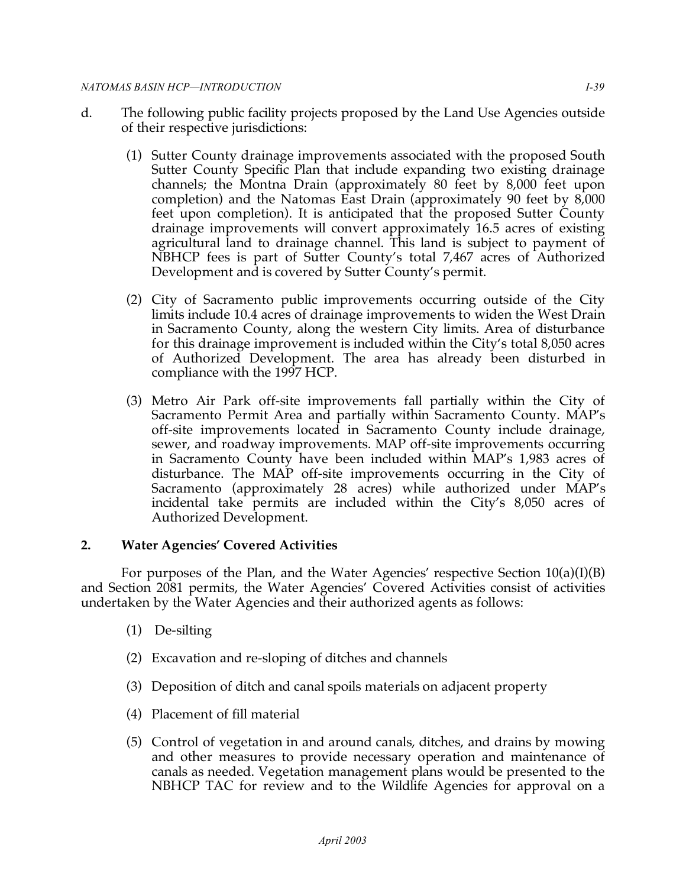- d. The following public facility projects proposed by the Land Use Agencies outside of their respective jurisdictions:
	- (1) Sutter County drainage improvements associated with the proposed South Sutter County Specific Plan that include expanding two existing drainage channels; the Montna Drain (approximately 80 feet by 8,000 feet upon completion) and the Natomas East Drain (approximately 90 feet by 8,000 feet upon completion). It is anticipated that the proposed Sutter County drainage improvements will convert approximately 16.5 acres of existing agricultural land to drainage channel. This land is subject to payment of NBHCP fees is part of Sutter County's total 7,467 acres of Authorized Development and is covered by Sutter County's permit.
	- (2) City of Sacramento public improvements occurring outside of the City limits include 10.4 acres of drainage improvements to widen the West Drain in Sacramento County, along the western City limits. Area of disturbance for this drainage improvement is included within the City's total 8,050 acres of Authorized Development. The area has already been disturbed in compliance with the 1997 HCP.
	- (3) Metro Air Park off-site improvements fall partially within the City of Sacramento Permit Area and partially within Sacramento County. MAP's off-site improvements located in Sacramento County include drainage, sewer, and roadway improvements. MAP off-site improvements occurring in Sacramento County have been included within MAP's 1,983 acres of disturbance. The MAP off-site improvements occurring in the City of Sacramento (approximately 28 acres) while authorized under MAP's incidental take permits are included within the City's 8,050 acres of Authorized Development.

## **2. Water Agencies' Covered Activities**

 For purposes of the Plan, and the Water Agencies' respective Section 10(a)(I)(B) and Section 2081 permits, the Water Agencies' Covered Activities consist of activities undertaken by the Water Agencies and their authorized agents as follows:

- (1) De-silting
- (2) Excavation and re-sloping of ditches and channels
- (3) Deposition of ditch and canal spoils materials on adjacent property
- (4) Placement of fill material
- (5) Control of vegetation in and around canals, ditches, and drains by mowing and other measures to provide necessary operation and maintenance of canals as needed. Vegetation management plans would be presented to the NBHCP TAC for review and to the Wildlife Agencies for approval on a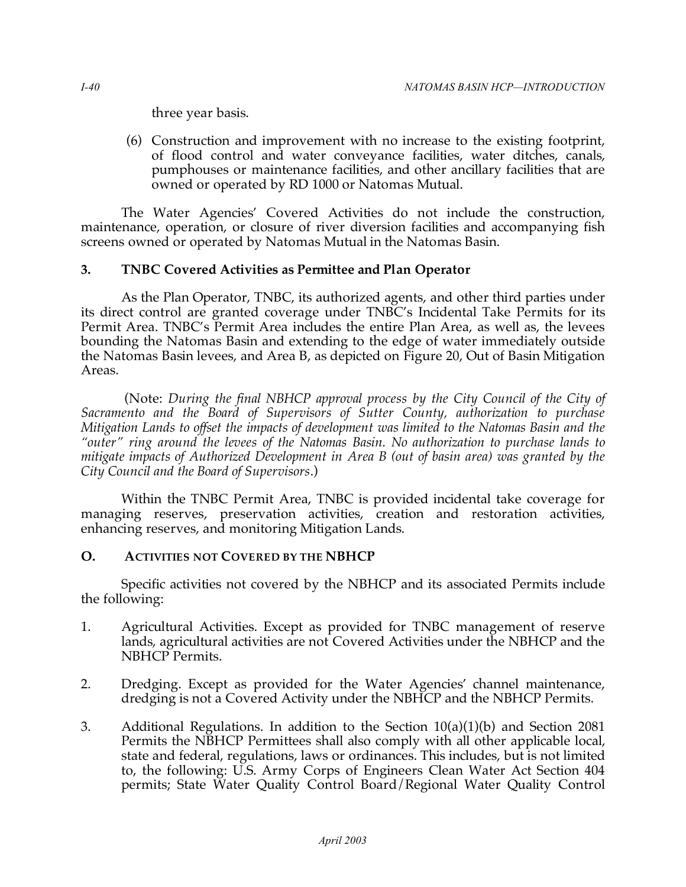three year basis.

 (6) Construction and improvement with no increase to the existing footprint, of flood control and water conveyance facilities, water ditches, canals, pumphouses or maintenance facilities, and other ancillary facilities that are owned or operated by RD 1000 or Natomas Mutual.

 The Water Agencies' Covered Activities do not include the construction, maintenance, operation, or closure of river diversion facilities and accompanying fish screens owned or operated by Natomas Mutual in the Natomas Basin.

## **3. TNBC Covered Activities as Permittee and Plan Operator**

 As the Plan Operator, TNBC, its authorized agents, and other third parties under its direct control are granted coverage under TNBC's Incidental Take Permits for its Permit Area. TNBC's Permit Area includes the entire Plan Area, as well as, the levees bounding the Natomas Basin and extending to the edge of water immediately outside the Natomas Basin levees, and Area B, as depicted on Figure 20, Out of Basin Mitigation Areas.

 (Note: *During the final NBHCP approval process by the City Council of the City of Sacramento and the Board of Supervisors of Sutter County, authorization to purchase Mitigation Lands to offset the impacts of development was limited to the Natomas Basin and the "outer" ring around the levees of the Natomas Basin. No authorization to purchase lands to mitigate impacts of Authorized Development in Area B (out of basin area) was granted by the City Council and the Board of Supervisors*.)

 Within the TNBC Permit Area, TNBC is provided incidental take coverage for managing reserves, preservation activities, creation and restoration activities, enhancing reserves, and monitoring Mitigation Lands.

## **O. ACTIVITIES NOT COVERED BY THE NBHCP**

 Specific activities not covered by the NBHCP and its associated Permits include the following:

- 1. Agricultural Activities. Except as provided for TNBC management of reserve lands, agricultural activities are not Covered Activities under the NBHCP and the NBHCP Permits.
- 2. Dredging. Except as provided for the Water Agencies' channel maintenance, dredging is not a Covered Activity under the NBHCP and the NBHCP Permits.
- 3. Additional Regulations. In addition to the Section 10(a)(1)(b) and Section 2081 Permits the NBHCP Permittees shall also comply with all other applicable local, state and federal, regulations, laws or ordinances. This includes, but is not limited to, the following: U.S. Army Corps of Engineers Clean Water Act Section 404 permits; State Water Quality Control Board/Regional Water Quality Control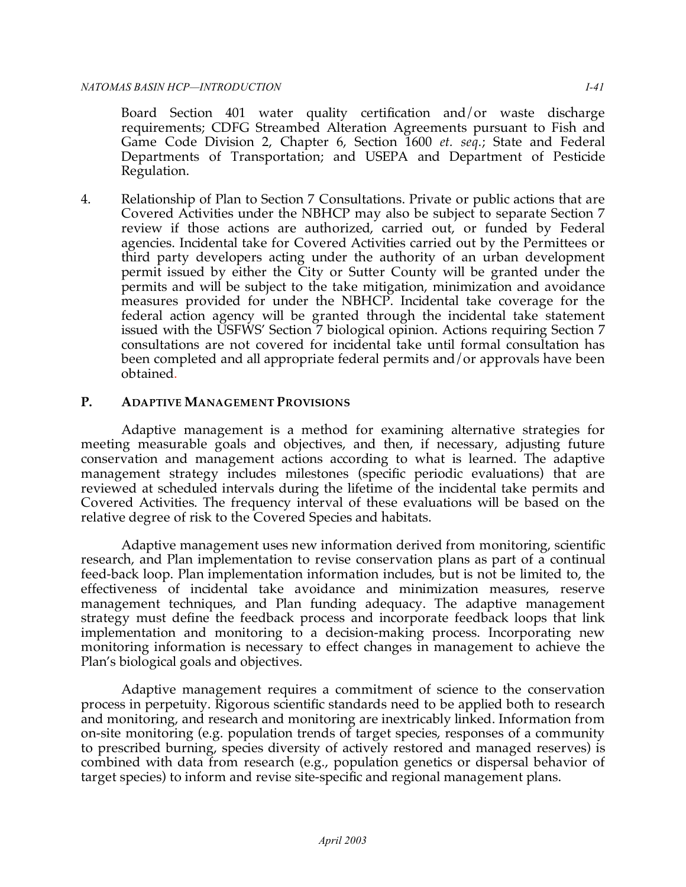Board Section 401 water quality certification and/or waste discharge requirements; CDFG Streambed Alteration Agreements pursuant to Fish and Game Code Division 2, Chapter 6, Section 1600 *et. seq.*; State and Federal Departments of Transportation; and USEPA and Department of Pesticide Regulation.

 4. Relationship of Plan to Section 7 Consultations. Private or public actions that are Covered Activities under the NBHCP may also be subject to separate Section 7 review if those actions are authorized, carried out, or funded by Federal agencies. Incidental take for Covered Activities carried out by the Permittees or third party developers acting under the authority of an urban development permit issued by either the City or Sutter County will be granted under the permits and will be subject to the take mitigation, minimization and avoidance measures provided for under the NBHCP. Incidental take coverage for the federal action agency will be granted through the incidental take statement issued with the USFWS' Section 7 biological opinion. Actions requiring Section 7 consultations are not covered for incidental take until formal consultation has been completed and all appropriate federal permits and/or approvals have been obtained.

# **P. ADAPTIVE MANAGEMENT PROVISIONS**

 Adaptive management is a method for examining alternative strategies for meeting measurable goals and objectives, and then, if necessary, adjusting future conservation and management actions according to what is learned. The adaptive management strategy includes milestones (specific periodic evaluations) that are reviewed at scheduled intervals during the lifetime of the incidental take permits and Covered Activities. The frequency interval of these evaluations will be based on the relative degree of risk to the Covered Species and habitats.

 Adaptive management uses new information derived from monitoring, scientific research, and Plan implementation to revise conservation plans as part of a continual feed-back loop. Plan implementation information includes, but is not be limited to, the effectiveness of incidental take avoidance and minimization measures, reserve management techniques, and Plan funding adequacy. The adaptive management strategy must define the feedback process and incorporate feedback loops that link implementation and monitoring to a decision-making process. Incorporating new monitoring information is necessary to effect changes in management to achieve the Plan's biological goals and objectives.

 Adaptive management requires a commitment of science to the conservation process in perpetuity. Rigorous scientific standards need to be applied both to research and monitoring, and research and monitoring are inextricably linked. Information from on-site monitoring (e.g. population trends of target species, responses of a community to prescribed burning, species diversity of actively restored and managed reserves) is combined with data from research (e.g., population genetics or dispersal behavior of target species) to inform and revise site-specific and regional management plans.